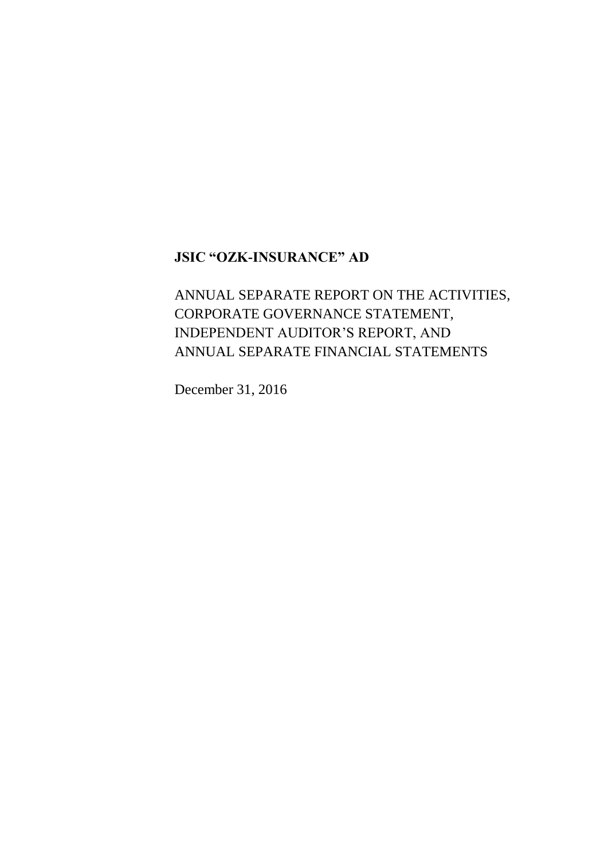# ANNUAL SEPARATE REPORT ON THE ACTIVITIES, CORPORATE GOVERNANCE STATEMENT, INDEPENDENT AUDITOR'S REPORT, AND ANNUAL SEPARATE FINANCIAL STATEMENTS

December 31, 2016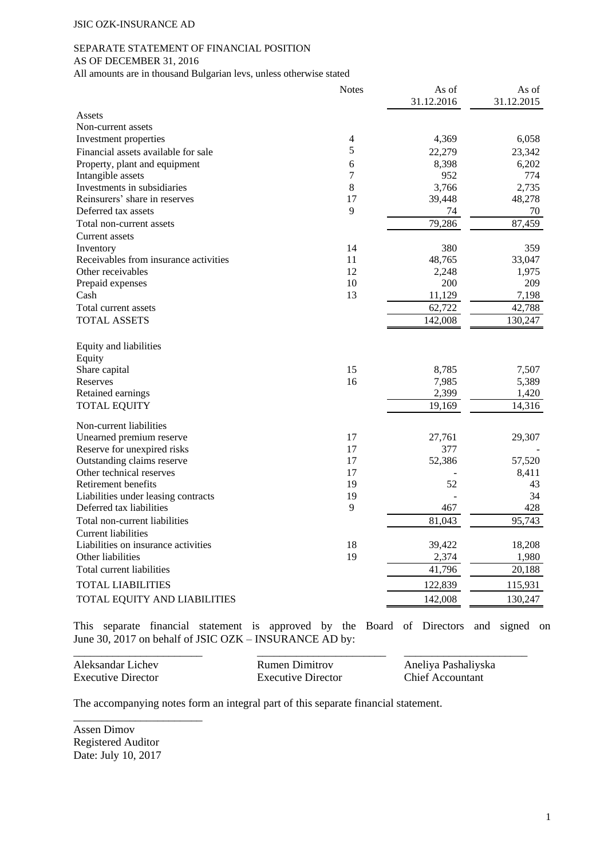#### SEPARATE STATEMENT OF FINANCIAL POSITION AS OF DECEMBER 31, 2016

All amounts are in thousand Bulgarian levs, unless otherwise stated

|                                                             | <b>Notes</b> | As of<br>31.12.2016 | As of<br>31.12.2015 |
|-------------------------------------------------------------|--------------|---------------------|---------------------|
| Assets                                                      |              |                     |                     |
| Non-current assets                                          |              |                     |                     |
| Investment properties                                       | 4            | 4,369               | 6,058               |
| Financial assets available for sale                         | 5            | 22,279              | 23,342              |
| Property, plant and equipment                               | 6            | 8,398               | 6,202               |
| Intangible assets                                           | 7            | 952                 | 774                 |
| Investments in subsidiaries                                 | 8            | 3,766               | 2,735               |
| Reinsurers' share in reserves                               | 17           | 39,448              | 48,278              |
| Deferred tax assets                                         | 9            | 74                  | 70                  |
| Total non-current assets                                    |              | 79,286              | 87,459              |
| Current assets                                              |              |                     |                     |
| Inventory                                                   | 14           | 380                 | 359                 |
| Receivables from insurance activities                       | 11           | 48,765              | 33,047              |
| Other receivables                                           | 12           | 2,248               | 1,975               |
| Prepaid expenses                                            | 10           | 200                 | 209                 |
| Cash                                                        | 13           | 11,129              | 7,198               |
| Total current assets                                        |              | 62,722              | 42,788              |
| <b>TOTAL ASSETS</b>                                         |              | 142,008             | 130,247             |
| Equity and liabilities<br>Equity                            |              |                     |                     |
| Share capital                                               | 15           | 8,785               | 7,507               |
| Reserves                                                    | 16           | 7,985               | 5,389               |
| Retained earnings                                           |              | 2,399               | 1,420               |
| <b>TOTAL EQUITY</b>                                         |              | 19,169              | 14,316              |
| Non-current liabilities                                     |              |                     |                     |
| Unearned premium reserve                                    | 17           | 27,761              | 29,307              |
| Reserve for unexpired risks                                 | 17           | 377                 |                     |
| Outstanding claims reserve                                  | 17           | 52,386              | 57,520              |
| Other technical reserves                                    | 17           |                     | 8,411               |
| Retirement benefits                                         | 19           | 52                  | 43                  |
| Liabilities under leasing contracts                         | 19           |                     | 34                  |
| Deferred tax liabilities                                    | 9            | 467                 | 428                 |
| Total non-current liabilities<br><b>Current liabilities</b> |              | 81,043              | 95,743              |
| Liabilities on insurance activities                         | 18           | 39,422              | 18,208              |
| Other liabilities                                           | 19           | 2,374               | 1,980               |
| Total current liabilities                                   |              | 41,796              | 20,188              |
| TOTAL LIABILITIES                                           |              | 122,839             | 115,931             |
|                                                             |              |                     |                     |
| TOTAL EQUITY AND LIABILITIES                                |              | 142,008             | 130,247             |

This separate financial statement is approved by the Board of Directors and signed on June 30, 2017 on behalf of JSIC OZK – INSURANCE AD by:

| Aleksandar Lichev         | Rumen Dimitrov     | Aneliya Pashaliyska |
|---------------------------|--------------------|---------------------|
| <b>Executive Director</b> | Executive Director | Chief Accountant    |

The accompanying notes form an integral part of this separate financial statement.

Assen Dimov Registered Auditor Date: July 10, 2017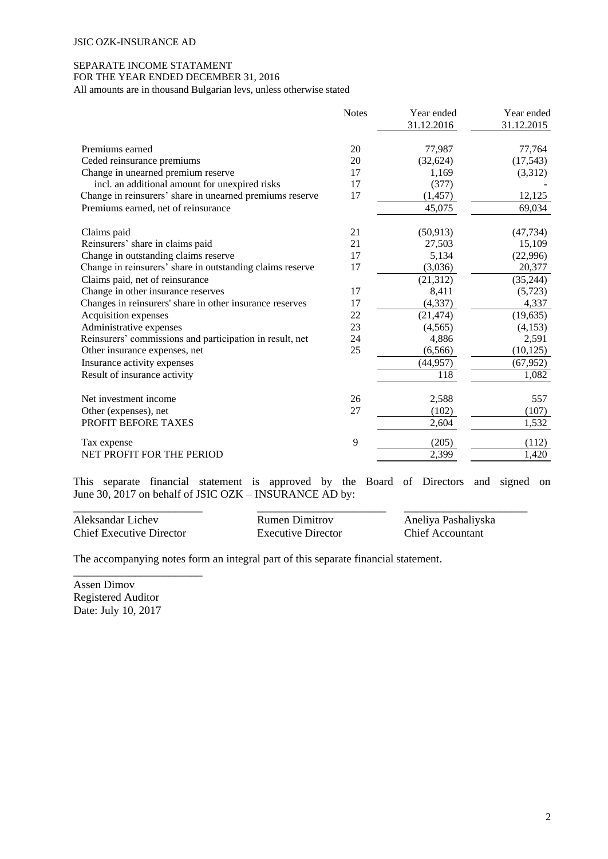# SEPARATE INCOME STATAMENT FOR THE YEAR ENDED DECEMBER 31, 2016

All amounts are in thousand Bulgarian levs, unless otherwise stated

|                                                           | <b>Notes</b> | Year ended | Year ended |
|-----------------------------------------------------------|--------------|------------|------------|
|                                                           |              | 31.12.2016 | 31.12.2015 |
| Premiums earned                                           | 20           | 77,987     | 77,764     |
| Ceded reinsurance premiums                                | 20           | (32, 624)  | (17, 543)  |
| Change in unearned premium reserve                        | 17           | 1,169      | (3,312)    |
| incl. an additional amount for unexpired risks            | 17           | (377)      |            |
| Change in reinsurers' share in unearned premiums reserve  | 17           | (1, 457)   | 12,125     |
| Premiums earned, net of reinsurance                       |              | 45,075     | 69,034     |
| Claims paid                                               | 21           | (50, 913)  | (47, 734)  |
| Reinsurers' share in claims paid                          | 21           | 27,503     | 15,109     |
| Change in outstanding claims reserve                      | 17           | 5,134      | (22,996)   |
| Change in reinsurers' share in outstanding claims reserve | 17           | (3,036)    | 20,377     |
| Claims paid, net of reinsurance                           |              | (21, 312)  | (35, 244)  |
| Change in other insurance reserves                        | 17           | 8,411      | (5,723)    |
| Changes in reinsurers' share in other insurance reserves  | 17           | (4, 337)   | 4,337      |
| Acquisition expenses                                      | 22           | (21, 474)  | (19, 635)  |
| Administrative expenses                                   | 23           | (4,565)    | (4,153)    |
| Reinsurers' commissions and participation in result, net  | 24           | 4,886      | 2,591      |
| Other insurance expenses, net                             | 25           | (6, 566)   | (10, 125)  |
| Insurance activity expenses                               |              | (44, 957)  | (67, 952)  |
| Result of insurance activity                              |              | 118        | 1,082      |
| Net investment income                                     | 26           | 2,588      | 557        |
| Other (expenses), net                                     | 27           | (102)      | (107)      |
| PROFIT BEFORE TAXES                                       |              | 2,604      | 1,532      |
| Tax expense                                               | 9            | (205)      | (112)      |
| <b>NET PROFIT FOR THE PERIOD</b>                          |              | 2,399      | 1,420      |

This separate financial statement is approved by the Board of Directors and signed on June 30, 2017 on behalf of JSIC OZK – INSURANCE AD by:

\_\_\_\_\_\_\_\_\_\_\_\_\_\_\_\_\_\_\_\_\_\_\_ \_\_\_\_\_\_\_\_\_\_\_\_\_\_\_\_\_\_\_\_\_\_\_ \_\_\_\_\_\_\_\_\_\_\_\_\_\_\_\_\_\_\_\_\_\_ Aleksandar Lichev Rumen Dimitrov Aneliya Pashaliyska Chief Executive Director Executive Director Chief Accountant

\_\_\_\_\_\_\_\_\_\_\_\_\_\_\_\_\_\_\_\_\_\_\_

The accompanying notes form an integral part of this separate financial statement.

Assen Dimov Registered Auditor Date: July 10, 2017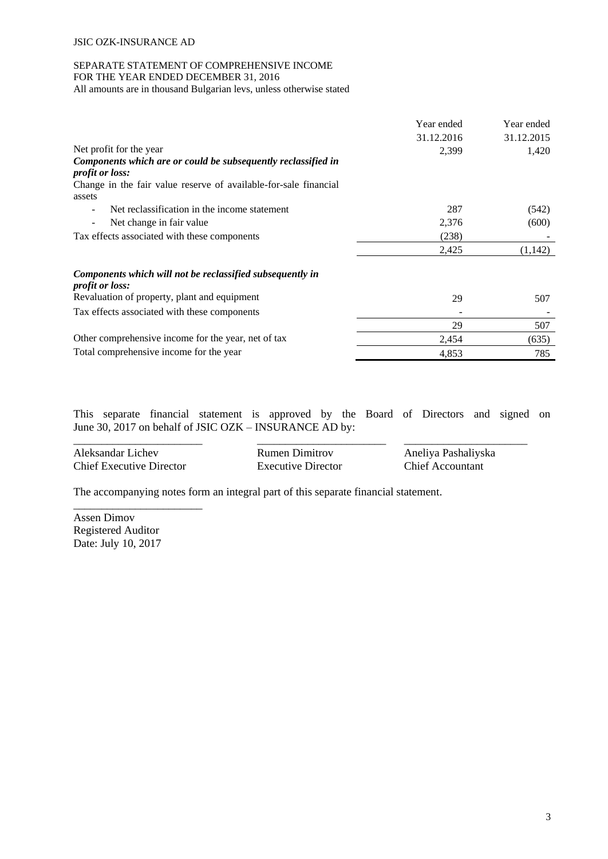# SEPARATE STATEMENT OF COMPREHENSIVE INCOME FOR THE YEAR ENDED DECEMBER 31, 2016

All amounts are in thousand Bulgarian levs, unless otherwise stated

|                                                                                         | Year ended | Year ended |
|-----------------------------------------------------------------------------------------|------------|------------|
|                                                                                         | 31.12.2016 | 31.12.2015 |
| Net profit for the year                                                                 | 2,399      | 1,420      |
| Components which are or could be subsequently reclassified in<br><i>profit or loss:</i> |            |            |
| Change in the fair value reserve of available-for-sale financial<br>assets              |            |            |
| Net reclassification in the income statement<br>$\overline{\phantom{a}}$                | 287        | (542)      |
| Net change in fair value<br>$\overline{\phantom{a}}$                                    | 2,376      | (600)      |
| Tax effects associated with these components                                            | (238)      |            |
|                                                                                         | 2,425      | (1,142)    |
| Components which will not be reclassified subsequently in<br><i>profit or loss:</i>     |            |            |
| Revaluation of property, plant and equipment                                            | 29         | 507        |
| Tax effects associated with these components                                            |            |            |
|                                                                                         | 29         | 507        |
| Other comprehensive income for the year, net of tax                                     | 2,454      | (635)      |
| Total comprehensive income for the year                                                 | 4,853      | 785        |

This separate financial statement is approved by the Board of Directors and signed on June 30, 2017 on behalf of JSIC OZK – INSURANCE AD by:

| Aleksandar Lichev               | Rumen Dimitrov     | Aneliya Pashaliyska |
|---------------------------------|--------------------|---------------------|
| <b>Chief Executive Director</b> | Executive Director | Chief Accountant    |

The accompanying notes form an integral part of this separate financial statement.

Assen Dimov Registered Auditor Date: July 10, 2017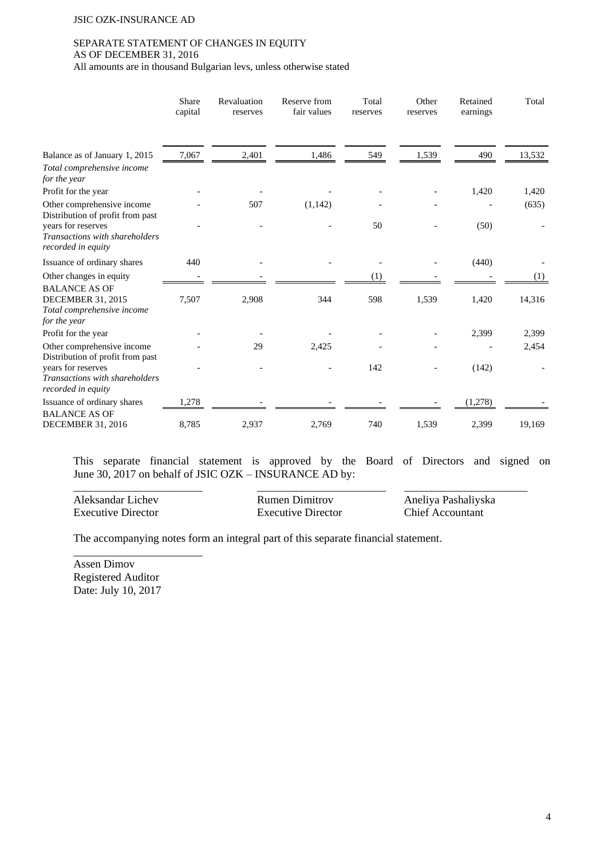#### SEPARATE STATEMENT OF CHANGES IN EQUITY AS OF DECEMBER 31, 2016

All amounts are in thousand Bulgarian levs, unless otherwise stated

|                                                                                                | Share<br>capital | Revaluation<br>reserves | Reserve from<br>fair values | Total<br>reserves | Other<br>reserves | Retained<br>earnings | Total  |
|------------------------------------------------------------------------------------------------|------------------|-------------------------|-----------------------------|-------------------|-------------------|----------------------|--------|
| Balance as of January 1, 2015                                                                  | 7,067            | 2,401                   | 1,486                       | 549               | 1,539             | 490                  | 13,532 |
| Total comprehensive income<br>for the year                                                     |                  |                         |                             |                   |                   |                      |        |
| Profit for the year                                                                            |                  |                         |                             |                   |                   | 1,420                | 1,420  |
| Other comprehensive income<br>Distribution of profit from past                                 |                  | 507                     | (1,142)                     |                   |                   |                      | (635)  |
| years for reserves<br>Transactions with shareholders<br>recorded in equity                     |                  |                         |                             | 50                |                   | (50)                 |        |
| Issuance of ordinary shares                                                                    | 440              |                         |                             |                   |                   | (440)                |        |
| Other changes in equity                                                                        |                  |                         |                             | (1)               |                   |                      | (1)    |
| <b>BALANCE AS OF</b><br><b>DECEMBER 31, 2015</b><br>Total comprehensive income<br>for the year | 7,507            | 2,908                   | 344                         | 598               | 1,539             | 1,420                | 14,316 |
| Profit for the year                                                                            |                  |                         |                             |                   |                   | 2,399                | 2,399  |
| Other comprehensive income<br>Distribution of profit from past                                 |                  | 29                      | 2,425                       |                   |                   |                      | 2,454  |
| years for reserves<br>Transactions with shareholders<br>recorded in equity                     |                  |                         |                             | 142               |                   | (142)                |        |
| Issuance of ordinary shares                                                                    | 1,278            |                         |                             |                   |                   | (1,278)              |        |
| <b>BALANCE AS OF</b><br><b>DECEMBER 31, 2016</b>                                               | 8,785            | 2,937                   | 2,769                       | 740               | 1,539             | 2,399                | 19,169 |

This separate financial statement is approved by the Board of Directors and signed on June 30, 2017 on behalf of JSIC OZK – INSURANCE AD by:

Aleksandar Lichev Rumen Dimitrov Aneliya Pashaliyska<br>Executive Director Executive Director Chief Accountant Executive Director Executive Director

\_\_\_\_\_\_\_\_\_\_\_\_\_\_\_\_\_\_\_\_\_\_\_ \_\_\_\_\_\_\_\_\_\_\_\_\_\_\_\_\_\_\_\_\_\_\_ \_\_\_\_\_\_\_\_\_\_\_\_\_\_\_\_\_\_\_\_\_\_

The accompanying notes form an integral part of this separate financial statement.

Assen Dimov Registered Auditor Date: July 10, 2017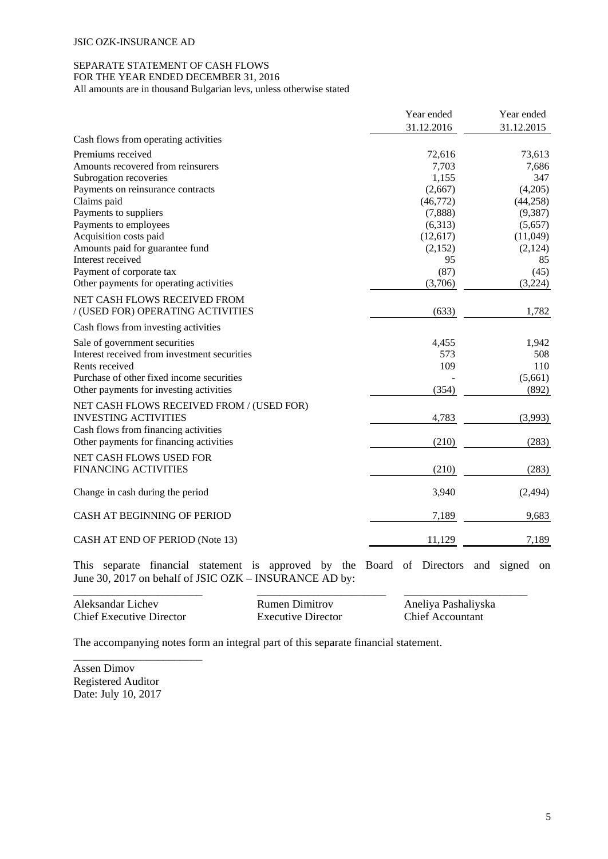# SEPARATE STATEMENT OF CASH FLOWS

FOR THE YEAR ENDED DECEMBER 31, 2016

All amounts are in thousand Bulgarian levs, unless otherwise stated

|                                              | Year ended | Year ended |
|----------------------------------------------|------------|------------|
|                                              | 31.12.2016 | 31.12.2015 |
| Cash flows from operating activities         |            |            |
| Premiums received                            | 72,616     | 73,613     |
| Amounts recovered from reinsurers            | 7,703      | 7,686      |
| Subrogation recoveries                       | 1,155      | 347        |
| Payments on reinsurance contracts            | (2,667)    | (4,205)    |
| Claims paid                                  | (46,772)   | (44, 258)  |
| Payments to suppliers                        | (7,888)    | (9, 387)   |
| Payments to employees                        | (6,313)    | (5,657)    |
| Acquisition costs paid                       | (12,617)   | (11,049)   |
| Amounts paid for guarantee fund              | (2,152)    | (2,124)    |
| Interest received                            | 95         | 85         |
| Payment of corporate tax                     | (87)       | (45)       |
| Other payments for operating activities      | (3,706)    | (3,224)    |
| NET CASH FLOWS RECEIVED FROM                 |            |            |
| / (USED FOR) OPERATING ACTIVITIES            | (633)      | 1,782      |
| Cash flows from investing activities         |            |            |
| Sale of government securities                | 4,455      | 1,942      |
| Interest received from investment securities | 573        | 508        |
| Rents received                               | 109        | 110        |
| Purchase of other fixed income securities    |            | (5,661)    |
| Other payments for investing activities      | (354)      | (892)      |
| NET CASH FLOWS RECEIVED FROM / (USED FOR)    |            |            |
| <b>INVESTING ACTIVITIES</b>                  | 4,783      | (3,993)    |
| Cash flows from financing activities         |            |            |
| Other payments for financing activities      | (210)      | (283)      |
| NET CASH FLOWS USED FOR                      |            |            |
| <b>FINANCING ACTIVITIES</b>                  | (210)      | (283)      |
| Change in cash during the period             | 3,940      | (2, 494)   |
| CASH AT BEGINNING OF PERIOD                  | 7,189      | 9,683      |
| CASH AT END OF PERIOD (Note 13)              | 11,129     | 7,189      |

This separate financial statement is approved by the Board of Directors and signed on June 30, 2017 on behalf of JSIC OZK – INSURANCE AD by:

| Aleksandar Lichev               | Rumen Dimitrov     | Aneliya Pashaliyska |
|---------------------------------|--------------------|---------------------|
| <b>Chief Executive Director</b> | Executive Director | Chief Accountant    |

The accompanying notes form an integral part of this separate financial statement.

Assen Dimov Registered Auditor Date: July 10, 2017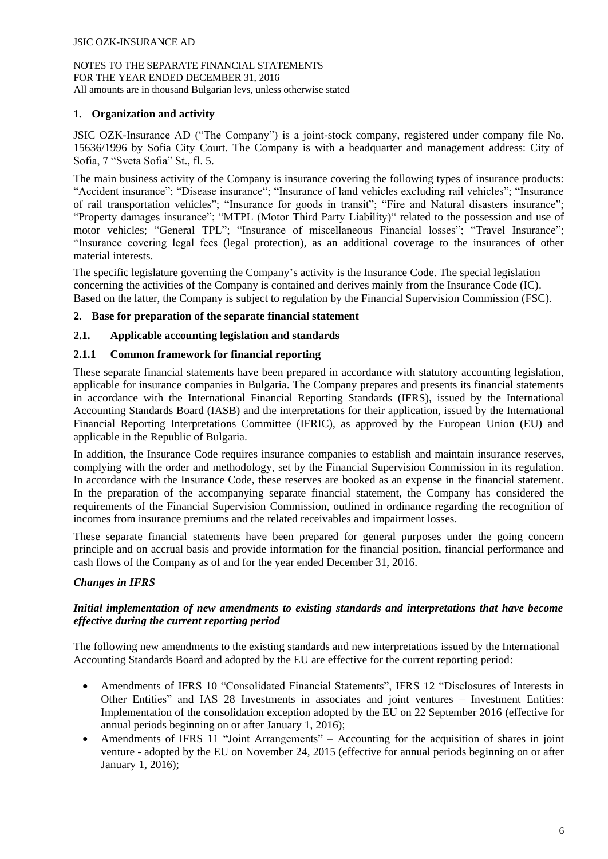# **1. Organization and activity**

JSIC OZK-Insurance AD ("The Company") is a joint-stock company, registered under company file No. 15636/1996 by Sofia City Court. The Company is with a headquarter and management address: City of Sofia, 7 "Sveta Sofia" St., fl. 5.

The main business activity of the Company is insurance covering the following types of insurance products: "Accident insurance"; "Disease insurance"; "Insurance of land vehicles excluding rail vehicles"; "Insurance of rail transportation vehicles"; "Insurance for goods in transit"; "Fire and Natural disasters insurance"; "Property damages insurance"; "MTPL (Motor Third Party Liability)" related to the possession and use of motor vehicles; "General TPL"; "Insurance of miscellaneous Financial losses"; "Travel Insurance"; "Insurance covering legal fees (legal protection), as an additional coverage to the insurances of other material interests.

The specific legislature governing the Company's activity is the Insurance Code. The special legislation concerning the activities of the Company is contained and derives mainly from the Insurance Code (IC). Based on the latter, the Company is subject to regulation by the Financial Supervision Commission (FSC).

## **2. Base for preparation of the separate financial statement**

## **2.1. Applicable accounting legislation and standards**

## **2.1.1 Common framework for financial reporting**

These separate financial statements have been prepared in accordance with statutory accounting legislation, applicable for insurance companies in Bulgaria. The Company prepares and presents its financial statements in accordance with the International Financial Reporting Standards (IFRS), issued by the International Accounting Standards Board (IASB) and the interpretations for their application, issued by the International Financial Reporting Interpretations Committee (IFRIC), as approved by the European Union (EU) and applicable in the Republic of Bulgaria.

In addition, the Insurance Code requires insurance companies to establish and maintain insurance reserves, complying with the order and methodology, set by the Financial Supervision Commission in its regulation. In accordance with the Insurance Code, these reserves are booked as an expense in the financial statement. In the preparation of the accompanying separate financial statement, the Company has considered the requirements of the Financial Supervision Commission, outlined in ordinance regarding the recognition of incomes from insurance premiums and the related receivables and impairment losses.

These separate financial statements have been prepared for general purposes under the going concern principle and on accrual basis and provide information for the financial position, financial performance and cash flows of the Company as of and for the year ended December 31, 2016.

# *Changes in IFRS*

## *Initial implementation of new amendments to existing standards and interpretations that have become effective during the current reporting period*

The following new amendments to the existing standards and new interpretations issued by the International Accounting Standards Board and adopted by the EU are effective for the current reporting period:

- Amendments of IFRS 10 "Consolidated Financial Statements", IFRS 12 "Disclosures of Interests in Other Entities" and IAS 28 Investments in associates and joint ventures – Investment Entities: Implementation of the consolidation exception adopted by the EU on 22 September 2016 (effective for annual periods beginning on or after January 1, 2016);
- Amendments of IFRS 11 "Joint Arrangements" Accounting for the acquisition of shares in joint venture - adopted by the EU on November 24, 2015 (effective for annual periods beginning on or after January 1, 2016);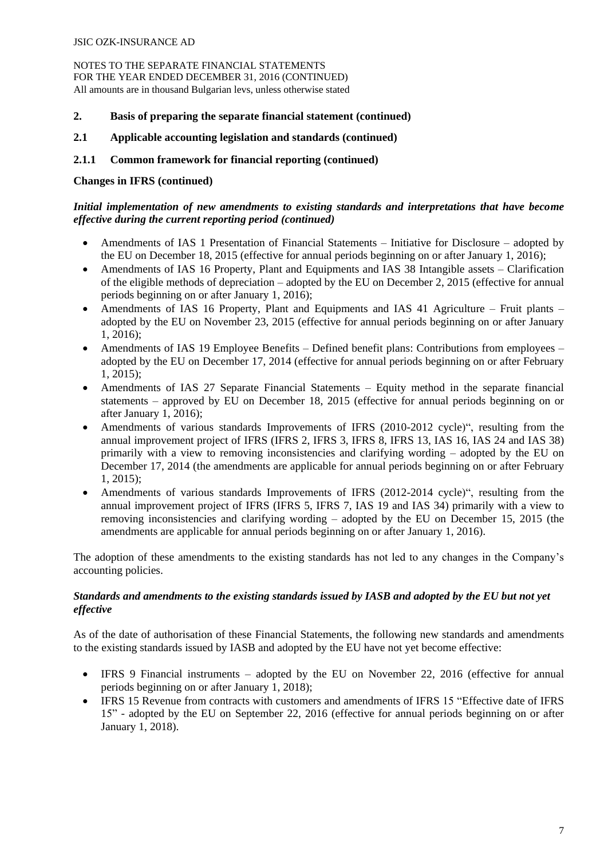- **2. Basis of preparing the separate financial statement (continued)**
- **2.1 Applicable accounting legislation and standards (continued)**

## **2.1.1 Common framework for financial reporting (continued)**

## **Changes in IFRS (continued)**

# *Initial implementation of new amendments to existing standards and interpretations that have become effective during the current reporting period (continued)*

- Amendments of IAS 1 Presentation of Financial Statements Initiative for Disclosure adopted by the EU on December 18, 2015 (effective for annual periods beginning on or after January 1, 2016);
- Amendments of IAS 16 Property, Plant and Equipments and IAS 38 Intangible assets Clarification of the eligible methods of depreciation – adopted by the EU on December 2, 2015 (effective for annual periods beginning on or after January 1, 2016);
- Amendments of IAS 16 Property, Plant and Equipments and IAS 41 Agriculture Fruit plants adopted by the EU on November 23, 2015 (effective for annual periods beginning on or after January 1, 2016);
- Amendments of IAS 19 Employee Benefits Defined benefit plans: Contributions from employees adopted by the EU on December 17, 2014 (effective for annual periods beginning on or after February 1, 2015);
- Amendments of IAS 27 Separate Financial Statements Equity method in the separate financial statements – approved by EU on December 18, 2015 (effective for annual periods beginning on or after January 1, 2016);
- Amendments of various standards Improvements of IFRS (2010-2012 cycle)", resulting from the annual improvement project of IFRS (IFRS 2, IFRS 3, IFRS 8, IFRS 13, IAS 16, IAS 24 and IAS 38) primarily with a view to removing inconsistencies and clarifying wording – adopted by the EU on December 17, 2014 (the amendments are applicable for annual periods beginning on or after February 1, 2015);
- Amendments of various standards Improvements of IFRS (2012-2014 cycle)", resulting from the annual improvement project of IFRS (IFRS 5, IFRS 7, IAS 19 and IAS 34) primarily with a view to removing inconsistencies and clarifying wording – adopted by the EU on December 15, 2015 (the amendments are applicable for annual periods beginning on or after January 1, 2016).

The adoption of these amendments to the existing standards has not led to any changes in the Company's accounting policies.

## *Standards and amendments to the existing standards issued by IASB and adopted by the EU but not yet effective*

As of the date of authorisation of these Financial Statements, the following new standards and amendments to the existing standards issued by IASB and adopted by the EU have not yet become effective:

- IFRS 9 Financial instruments adopted by the EU on November 22, 2016 (effective for annual periods beginning on or after January 1, 2018);
- IFRS 15 Revenue from contracts with customers and amendments of IFRS 15 "Effective date of IFRS 15" - adopted by the EU on September 22, 2016 (effective for annual periods beginning on or after January 1, 2018).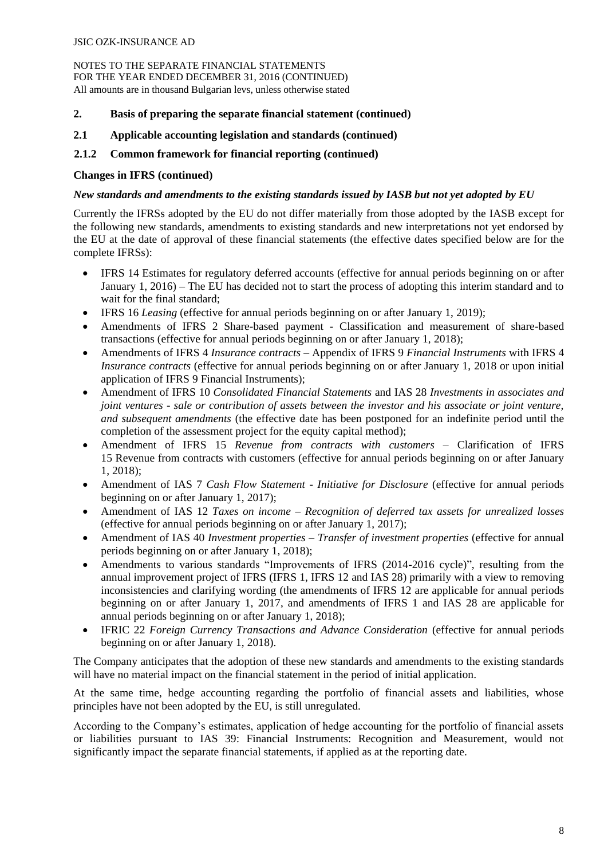- **2. Basis of preparing the separate financial statement (continued)**
- **2.1 Applicable accounting legislation and standards (continued)**

## **2.1.2 Common framework for financial reporting (continued)**

#### **Changes in IFRS (continued)**

#### *New standards and amendments to the existing standards issued by IASB but not yet adopted by EU*

Currently the IFRSs adopted by the EU do not differ materially from those adopted by the IASB except for the following new standards, amendments to existing standards and new interpretations not yet endorsed by the EU at the date of approval of these financial statements (the effective dates specified below are for the complete IFRSs):

- IFRS 14 Estimates for regulatory deferred accounts (effective for annual periods beginning on or after January 1, 2016) – The EU has decided not to start the process of adopting this interim standard and to wait for the final standard;
- IFRS 16 *Leasing* (effective for annual periods beginning on or after January 1, 2019);
- Amendments of IFRS 2 Share-based payment Classification and measurement of share-based transactions (effective for annual periods beginning on or after January 1, 2018);
- Amendments of IFRS 4 *Insurance contracts*  Appendix of IFRS 9 *Financial Instruments* with IFRS 4 *Insurance contracts* (effective for annual periods beginning on or after January 1, 2018 or upon initial application of IFRS 9 Financial Instruments);
- Amendment of IFRS 10 *Consolidated Financial Statements* and IAS 28 *Investments in associates and joint ventures - sale or contribution of assets between the investor and his associate or joint venture, and subsequent amendments* (the effective date has been postponed for an indefinite period until the completion of the assessment project for the equity capital method);
- Amendment of IFRS 15 *Revenue from contracts with customers* Clarification of IFRS 15 Revenue from contracts with customers (effective for annual periods beginning on or after January 1, 2018);
- Amendment of IAS 7 *Cash Flow Statement - Initiative for Disclosure* (effective for annual periods beginning on or after January 1, 2017);
- Amendment of IAS 12 *Taxes on income – Recognition of deferred tax assets for unrealized losses*  (effective for annual periods beginning on or after January 1, 2017);
- Amendment of IAS 40 *Investment properties – Transfer of investment properties* (effective for annual periods beginning on or after January 1, 2018);
- Amendments to various standards "Improvements of IFRS (2014-2016 cycle)", resulting from the annual improvement project of IFRS (IFRS 1, IFRS 12 and IAS 28) primarily with a view to removing inconsistencies and clarifying wording (the amendments of IFRS 12 are applicable for annual periods beginning on or after January 1, 2017, and amendments of IFRS 1 and IAS 28 are applicable for annual periods beginning on or after January 1, 2018);
- IFRIC 22 *Foreign Currency Transactions and Advance Consideration* (effective for annual periods beginning on or after January 1, 2018).

The Company anticipates that the adoption of these new standards and amendments to the existing standards will have no material impact on the financial statement in the period of initial application.

At the same time, hedge accounting regarding the portfolio of financial assets and liabilities, whose principles have not been adopted by the EU, is still unregulated.

According to the Company's estimates, application of hedge accounting for the portfolio of financial assets or liabilities pursuant to IAS 39: Financial Instruments: Recognition and Measurement, would not significantly impact the separate financial statements, if applied as at the reporting date.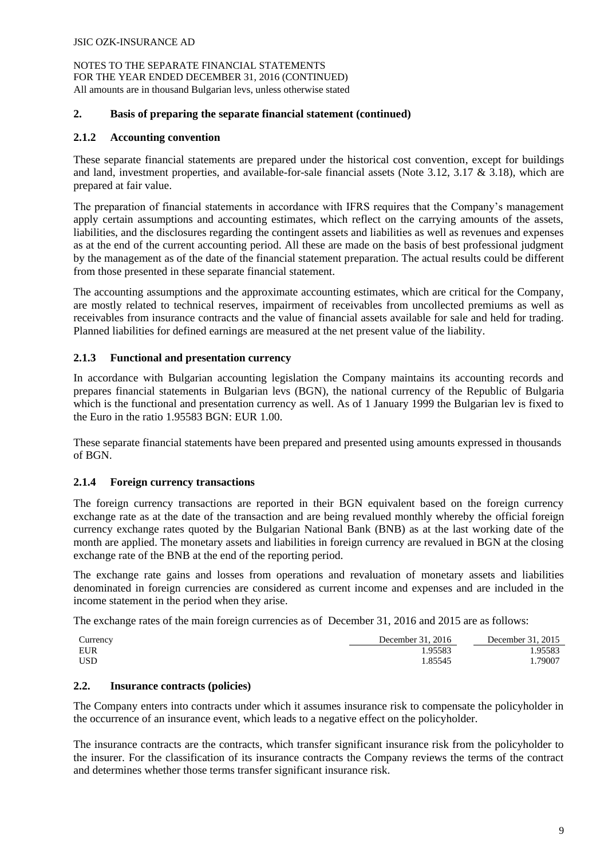#### **2. Basis of preparing the separate financial statement (continued)**

## **2.1.2 Accounting convention**

These separate financial statements are prepared under the historical cost convention, except for buildings and land, investment properties, and available-for-sale financial assets (Note 3.12, 3.17 & 3.18), which are prepared at fair value.

The preparation of financial statements in accordance with IFRS requires that the Company's management apply certain assumptions and accounting estimates, which reflect on the carrying amounts of the assets, liabilities, and the disclosures regarding the contingent assets and liabilities as well as revenues and expenses as at the end of the current accounting period. All these are made on the basis of best professional judgment by the management as of the date of the financial statement preparation. The actual results could be different from those presented in these separate financial statement.

The accounting assumptions and the approximate accounting estimates, which are critical for the Company, are mostly related to technical reserves, impairment of receivables from uncollected premiums as well as receivables from insurance contracts and the value of financial assets available for sale and held for trading. Planned liabilities for defined earnings are measured at the net present value of the liability.

## **2.1.3 Functional and presentation currency**

In accordance with Bulgarian accounting legislation the Company maintains its accounting records and prepares financial statements in Bulgarian levs (BGN), the national currency of the Republic of Bulgaria which is the functional and presentation currency as well. As of 1 January 1999 the Bulgarian lev is fixed to the Euro in the ratio 1.95583 BGN: EUR 1.00.

These separate financial statements have been prepared and presented using amounts expressed in thousands of BGN.

#### **2.1.4 Foreign currency transactions**

The foreign currency transactions are reported in their BGN equivalent based on the foreign currency exchange rate as at the date of the transaction and are being revalued monthly whereby the official foreign currency exchange rates quoted by the Bulgarian National Bank (BNB) as at the last working date of the month are applied. The monetary assets and liabilities in foreign currency are revalued in BGN at the closing exchange rate of the BNB at the end of the reporting period.

The exchange rate gains and losses from operations and revaluation of monetary assets and liabilities denominated in foreign currencies are considered as current income and expenses and are included in the income statement in the period when they arise.

The exchange rates of the main foreign currencies as of December 31, 2016 and 2015 are as follows:

| Currency | December 31, 2016 | December 31, 2015 |
|----------|-------------------|-------------------|
| EUR      | .95583            | .95583            |
| USD      | .85545            | .79007            |

## **2.2. Insurance contracts (policies)**

The Company enters into contracts under which it assumes insurance risk to compensate the policyholder in the occurrence of an insurance event, which leads to a negative effect on the policyholder.

The insurance contracts are the contracts, which transfer significant insurance risk from the policyholder to the insurer. For the classification of its insurance contracts the Company reviews the terms of the contract and determines whether those terms transfer significant insurance risk.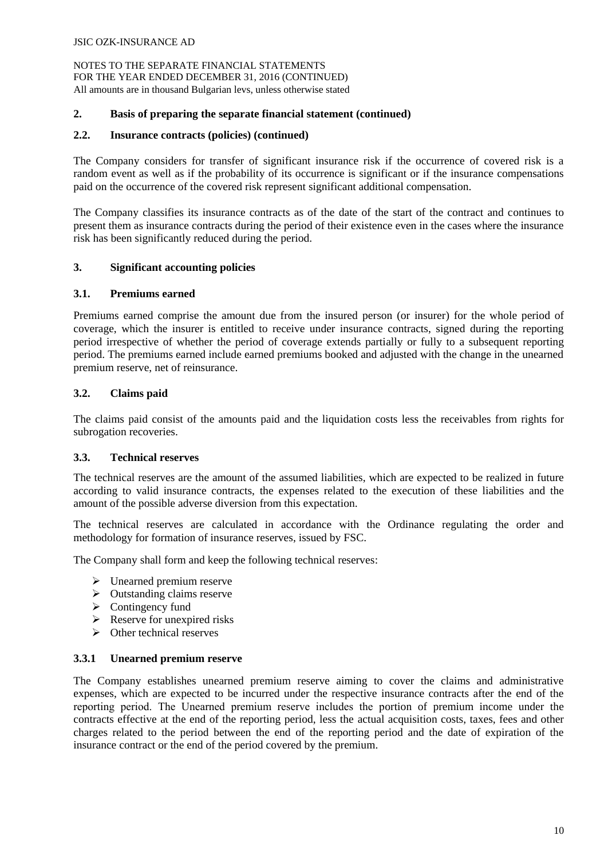#### **2. Basis of preparing the separate financial statement (continued)**

#### **2.2. Insurance contracts (policies) (continued)**

The Company considers for transfer of significant insurance risk if the occurrence of covered risk is a random event as well as if the probability of its occurrence is significant or if the insurance compensations paid on the occurrence of the covered risk represent significant additional compensation.

The Company classifies its insurance contracts as of the date of the start of the contract and continues to present them as insurance contracts during the period of their existence even in the cases where the insurance risk has been significantly reduced during the period.

## **3. Significant accounting policies**

#### **3.1. Premiums earned**

Premiums earned comprise the amount due from the insured person (or insurer) for the whole period of coverage, which the insurer is entitled to receive under insurance contracts, signed during the reporting period irrespective of whether the period of coverage extends partially or fully to a subsequent reporting period. The premiums earned include earned premiums booked and adjusted with the change in the unearned premium reserve, net of reinsurance.

## **3.2. Claims paid**

The claims paid consist of the amounts paid and the liquidation costs less the receivables from rights for subrogation recoveries.

#### **3.3. Technical reserves**

The technical reserves are the amount of the assumed liabilities, which are expected to be realized in future according to valid insurance contracts, the expenses related to the execution of these liabilities and the amount of the possible adverse diversion from this expectation.

The technical reserves are calculated in accordance with the Ordinance regulating the order and methodology for formation of insurance reserves, issued by FSC.

The Company shall form and keep the following technical reserves:

- $\triangleright$  Unearned premium reserve
- $\triangleright$  Outstanding claims reserve
- $\triangleright$  Contingency fund
- $\triangleright$  Reserve for unexpired risks
- $\triangleright$  Other technical reserves

#### **3.3.1 Unearned premium reserve**

The Company establishes unearned premium reserve aiming to cover the claims and administrative expenses, which are expected to be incurred under the respective insurance contracts after the end of the reporting period. Тhe Unearned premium reserve includes the portion of premium income under the contracts effective at the end of the reporting period, less the actual acquisition costs, taxes, fees and other charges related to the period between the end of the reporting period and the date of expiration of the insurance contract or the end of the period covered by the premium.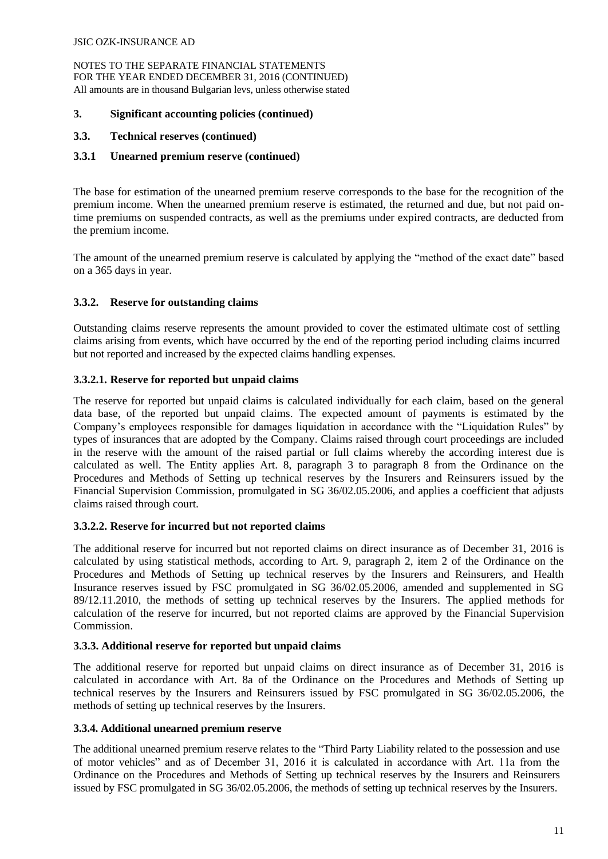NOTES TO THE SEPARATE FINANCIAL STATEMENTS FOR THE YEAR ENDED DECEMBER 31, 2016 (CONTINUED) All amounts are in thousand Bulgarian levs, unless otherwise stated

#### **3. Significant accounting policies (continued)**

## **3.3. Technical reserves (continued)**

## **3.3.1 Unearned premium reserve (continued)**

The base for estimation of the unearned premium reserve corresponds to the base for the recognition of the premium income. When the unearned premium reserve is estimated, the returned and due, but not paid ontime premiums on suspended contracts, as well as the premiums under expired contracts, are deducted from the premium income.

The amount of the unearned premium reserve is calculated by applying the "method of the exact date" based on a 365 days in year.

## **3.3.2. Reserve for outstanding claims**

Outstanding claims reserve represents the amount provided to cover the estimated ultimate cost of settling claims arising from events, which have occurred by the end of the reporting period including claims incurred but not reported and increased by the expected claims handling expenses.

## **3.3.2.1. Reserve for reported but unpaid claims**

The reserve for reported but unpaid claims is calculated individually for each claim, based on the general data base, of the reported but unpaid claims. The expected amount of payments is estimated by the Company's employees responsible for damages liquidation in accordance with the "Liquidation Rules" by types of insurances that are adopted by the Company. Claims raised through court proceedings are included in the reserve with the amount of the raised partial or full claims whereby the according interest due is calculated as well. The Entity applies Art. 8, paragraph 3 to paragraph 8 from the Ordinance on the Procedures and Methods of Setting up technical reserves by the Insurers and Reinsurers issued by the Financial Supervision Commission, promulgated in SG 36/02.05.2006, and applies a coefficient that adjusts claims raised through court.

# **3.3.2.2. Reserve for incurred but not reported claims**

The additional reserve for incurred but not reported claims on direct insurance as of December 31, 2016 is calculated by using statistical methods, according to Art. 9, paragraph 2, item 2 of the Ordinance on the Procedures and Methods of Setting up technical reserves by the Insurers and Reinsurers, and Health Insurance reserves issued by FSC promulgated in SG 36/02.05.2006, amended and supplemented in SG 89/12.11.2010, the methods of setting up technical reserves by the Insurers. The applied methods for calculation of the reserve for incurred, but not reported claims are approved by the Financial Supervision Commission.

#### **3.3.3. Additional reserve for reported but unpaid claims**

The additional reserve for reported but unpaid claims on direct insurance as of December 31, 2016 is calculated in accordance with Art. 8a of the Ordinance on the Procedures and Methods of Setting up technical reserves by the Insurers and Reinsurers issued by FSC promulgated in SG 36/02.05.2006, the methods of setting up technical reserves by the Insurers.

#### **3.3.4. Additional unearned premium reserve**

The additional unearned premium reserve relates to the "Third Party Liability related to the possession and use of motor vehicles" and as of December 31, 2016 it is calculated in accordance with Art. 11a from the Ordinance on the Procedures and Methods of Setting up technical reserves by the Insurers and Reinsurers issued by FSC promulgated in SG 36/02.05.2006, the methods of setting up technical reserves by the Insurers.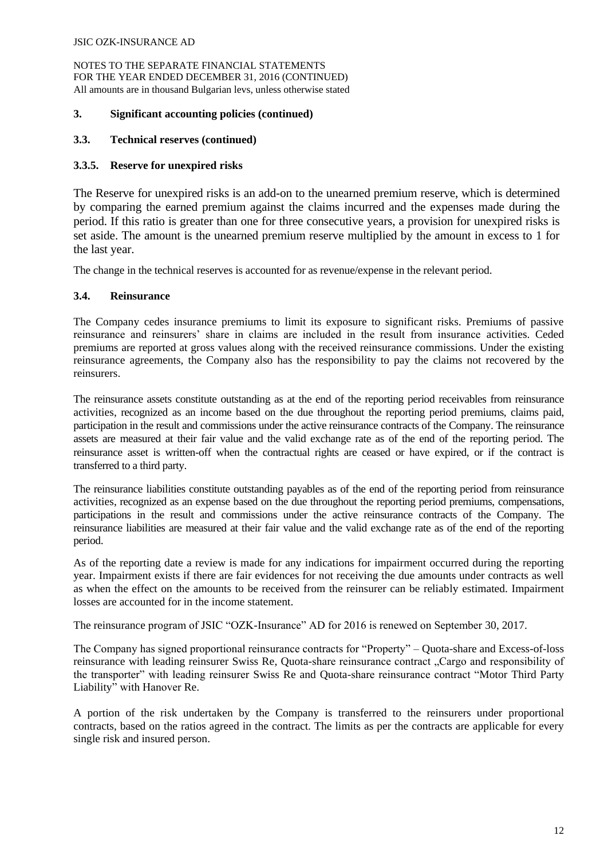NOTES TO THE SEPARATE FINANCIAL STATEMENTS FOR THE YEAR ENDED DECEMBER 31, 2016 (CONTINUED) All amounts are in thousand Bulgarian levs, unless otherwise stated

#### **3. Significant accounting policies (continued)**

## **3.3. Technical reserves (continued)**

## **3.3.5. Reserve for unexpired risks**

The Reserve for unexpired risks is an add-on to the unearned premium reserve, which is determined by comparing the earned premium against the claims incurred and the expenses made during the period. If this ratio is greater than one for three consecutive years, a provision for unexpired risks is set aside. The amount is the unearned premium reserve multiplied by the amount in excess to 1 for the last year.

The change in the technical reserves is accounted for as revenue/expense in the relevant period.

## **3.4. Reinsurance**

The Company cedes insurance premiums to limit its exposure to significant risks. Premiums of passive reinsurance and reinsurers' share in claims are included in the result from insurance activities. Ceded premiums are reported at gross values along with the received reinsurance commissions. Under the existing reinsurance agreements, the Company also has the responsibility to pay the claims not recovered by the reinsurers.

The reinsurance assets constitute outstanding as at the end of the reporting period receivables from reinsurance activities, recognized as an income based on the due throughout the reporting period premiums, claims paid, participation in the result and commissions under the active reinsurance contracts of the Company. The reinsurance assets are measured at their fair value and the valid exchange rate as of the end of the reporting period. The reinsurance asset is written-off when the contractual rights are ceased or have expired, or if the contract is transferred to a third party.

The reinsurance liabilities constitute outstanding payables as of the end of the reporting period from reinsurance activities, recognized as an expense based on the due throughout the reporting period premiums, compensations, participations in the result and commissions under the active reinsurance contracts of the Company. The reinsurance liabilities are measured at their fair value and the valid exchange rate as of the end of the reporting period.

As of the reporting date a review is made for any indications for impairment occurred during the reporting year. Impairment exists if there are fair evidences for not receiving the due amounts under contracts as well as when the effect on the amounts to be received from the reinsurer can be reliably estimated. Impairment losses are accounted for in the income statement.

The reinsurance program of JSIC "OZK-Insurance" AD for 2016 is renewed on September 30, 2017.

The Company has signed proportional reinsurance contracts for "Property" – Quota-share and Excess-of-loss reinsurance with leading reinsurer Swiss Re, Quota-share reinsurance contract "Cargo and responsibility of the transporter" with leading reinsurer Swiss Re and Quota-share reinsurance contract "Motor Third Party Liability" with Hanover Re.

A portion of the risk undertaken by the Company is transferred to the reinsurers under proportional contracts, based on the ratios agreed in the contract. The limits as per the contracts are applicable for every single risk and insured person.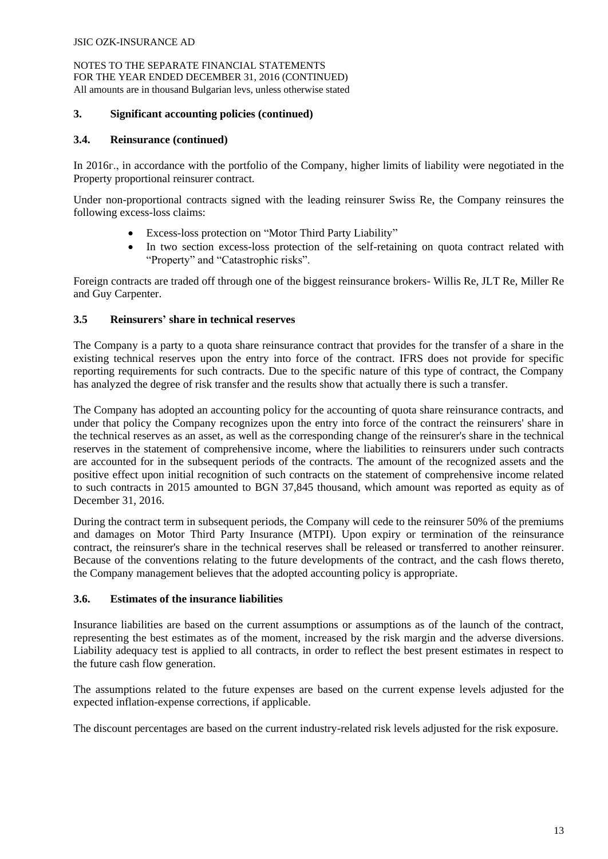#### **3. Significant accounting policies (continued)**

#### **3.4. Reinsurance (continued)**

In 2016г., in accordance with the portfolio of the Company, higher limits of liability were negotiated in the Property proportional reinsurer contract.

Under non-proportional contracts signed with the leading reinsurer Swiss Re, the Company reinsures the following excess-loss claims:

- Excess-loss protection on "Motor Third Party Liability"
- In two section excess-loss protection of the self-retaining on quota contract related with "Property" and "Catastrophic risks".

Foreign contracts are traded off through one of the biggest reinsurance brokers- Willis Re, JLT Re, Miller Re and Guy Carpenter.

## **3.5 Reinsurers' share in technical reserves**

The Company is a party to a quota share reinsurance contract that provides for the transfer of a share in the existing technical reserves upon the entry into force of the contract. IFRS does not provide for specific reporting requirements for such contracts. Due to the specific nature of this type of contract, the Company has analyzed the degree of risk transfer and the results show that actually there is such a transfer.

The Company has adopted an accounting policy for the accounting of quota share reinsurance contracts, and under that policy the Company recognizes upon the entry into force of the contract the reinsurers' share in the technical reserves as an asset, as well as the corresponding change of the reinsurer's share in the technical reserves in the statement of comprehensive income, where the liabilities to reinsurers under such contracts are accounted for in the subsequent periods of the contracts. The amount of the recognized assets and the positive effect upon initial recognition of such contracts on the statement of comprehensive income related to such contracts in 2015 amounted to BGN 37,845 thousand, which amount was reported as equity as of December 31, 2016.

During the contract term in subsequent periods, the Company will cede to the reinsurer 50% of the premiums and damages on Motor Third Party Insurance (MTPI). Upon expiry or termination of the reinsurance contract, the reinsurer's share in the technical reserves shall be released or transferred to another reinsurer. Because of the conventions relating to the future developments of the contract, and the cash flows thereto, the Company management believes that the adopted accounting policy is appropriate.

#### **3.6. Estimates of the insurance liabilities**

Insurance liabilities are based on the current assumptions or assumptions as of the launch of the contract, representing the best estimates as of the moment, increased by the risk margin and the adverse diversions. Liability adequacy test is applied to all contracts, in order to reflect the best present estimates in respect to the future cash flow generation.

The assumptions related to the future expenses are based on the current expense levels adjusted for the expected inflation-expense corrections, if applicable.

The discount percentages are based on the current industry-related risk levels adjusted for the risk exposure.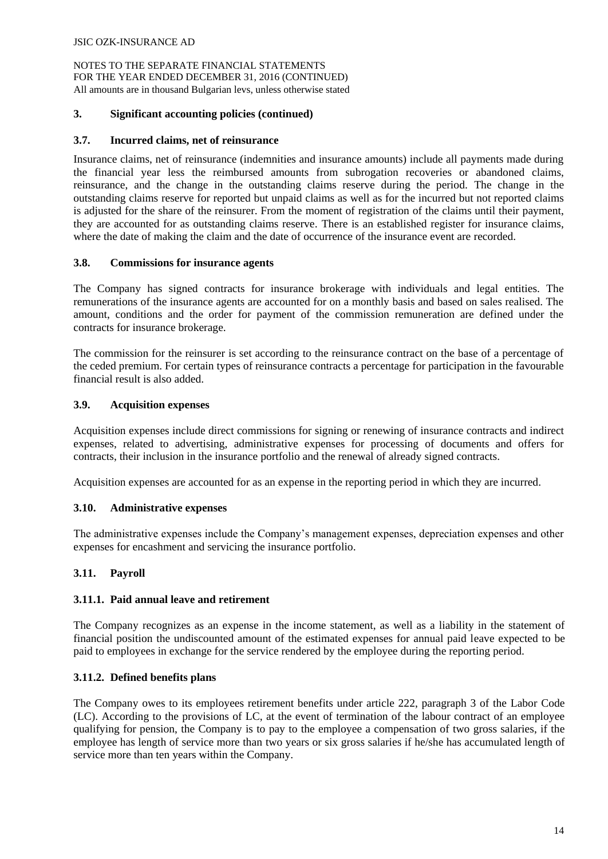#### **3. Significant accounting policies (continued)**

## **3.7. Incurred claims, net of reinsurance**

Insurance claims, net of reinsurance (indemnities and insurance amounts) include all payments made during the financial year less the reimbursed amounts from subrogation recoveries or abandoned claims, reinsurance, and the change in the outstanding claims reserve during the period. The change in the outstanding claims reserve for reported but unpaid claims as well as for the incurred but not reported claims is adjusted for the share of the reinsurer. From the moment of registration of the claims until their payment, they are accounted for as outstanding claims reserve. There is an established register for insurance claims, where the date of making the claim and the date of occurrence of the insurance event are recorded.

#### **3.8. Commissions for insurance agents**

The Company has signed contracts for insurance brokerage with individuals and legal entities. The remunerations of the insurance agents are accounted for on a monthly basis and based on sales realised. The amount, conditions and the order for payment of the commission remuneration are defined under the contracts for insurance brokerage.

The commission for the reinsurer is set according to the reinsurance contract on the base of a percentage of the ceded premium. For certain types of reinsurance contracts a percentage for participation in the favourable financial result is also added.

## **3.9. Acquisition expenses**

Acquisition expenses include direct commissions for signing or renewing of insurance contracts and indirect expenses, related to advertising, administrative expenses for processing of documents and offers for contracts, their inclusion in the insurance portfolio and the renewal of already signed contracts.

Acquisition expenses are accounted for as an expense in the reporting period in which they are incurred.

#### **3.10. Administrative expenses**

The administrative expenses include the Company's management expenses, depreciation expenses and other expenses for encashment and servicing the insurance portfolio.

# **3.11. Payroll**

#### **3.11.1. Paid annual leave and retirement**

The Company recognizes as an expense in the income statement, as well as a liability in the statement of financial position the undiscounted amount of the estimated expenses for annual paid leave expected to be paid to employees in exchange for the service rendered by the employee during the reporting period.

#### **3.11.2. Defined benefits plans**

The Company owes to its employees retirement benefits under article 222, paragraph 3 of the Labor Code (LC). According to the provisions of LC, at the event of termination of the labour contract of an employee qualifying for pension, the Company is to pay to the employee a compensation of two gross salaries, if the employee has length of service more than two years or six gross salaries if he/she has accumulated length of service more than ten years within the Company.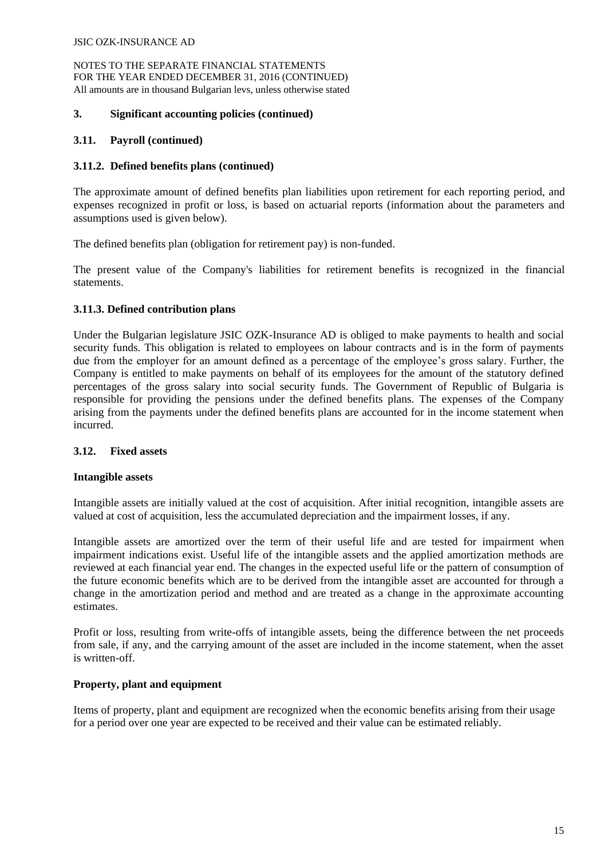#### **3. Significant accounting policies (continued)**

## **3.11. Payroll (continued)**

## **3.11.2. Defined benefits plans (continued)**

The approximate amount of defined benefits plan liabilities upon retirement for each reporting period, and expenses recognized in profit or loss, is based on actuarial reports (information about the parameters and assumptions used is given below).

The defined benefits plan (obligation for retirement pay) is non-funded.

The present value of the Company's liabilities for retirement benefits is recognized in the financial statements.

## **3.11.3. Defined contribution plans**

Under the Bulgarian legislature JSIC OZK-Insurance AD is obliged to make payments to health and social security funds. This obligation is related to employees on labour contracts and is in the form of payments due from the employer for an amount defined as a percentage of the employee's gross salary. Further, the Company is entitled to make payments on behalf of its employees for the amount of the statutory defined percentages of the gross salary into social security funds. The Government of Republic of Bulgaria is responsible for providing the pensions under the defined benefits plans. The expenses of the Company arising from the payments under the defined benefits plans are accounted for in the income statement when incurred.

# **3.12. Fixed assets**

#### **Intangible assets**

Intangible assets are initially valued at the cost of acquisition. After initial recognition, intangible assets are valued at cost of acquisition, less the accumulated depreciation and the impairment losses, if any.

Intangible assets are amortized over the term of their useful life and are tested for impairment when impairment indications exist. Useful life of the intangible assets and the applied amortization methods are reviewed at each financial year end. The changes in the expected useful life or the pattern of consumption of the future economic benefits which are to be derived from the intangible asset are accounted for through a change in the amortization period and method and are treated as a change in the approximate accounting estimates.

Profit or loss, resulting from write-offs of intangible assets, being the difference between the net proceeds from sale, if any, and the carrying amount of the asset are included in the income statement, when the asset is written-off.

#### **Property, plant and equipment**

Items of property, plant and equipment are recognized when the economic benefits arising from their usage for a period over one year are expected to be received and their value can be estimated reliably.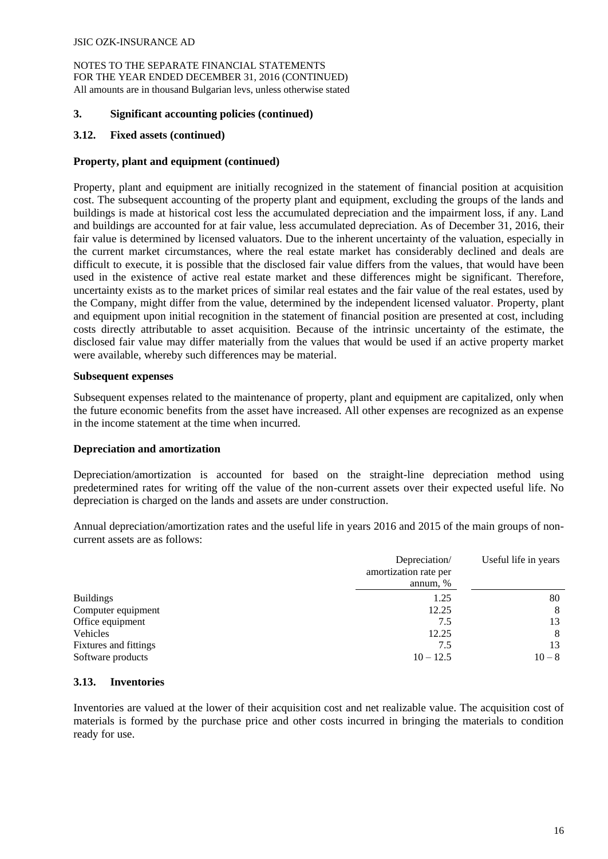## **3. Significant accounting policies (continued)**

## **3.12. Fixed assets (continued)**

## **Property, plant and equipment (continued)**

Property, plant and equipment are initially recognized in the statement of financial position at acquisition cost. The subsequent accounting of the property plant and equipment, excluding the groups of the lands and buildings is made at historical cost less the accumulated depreciation and the impairment loss, if any. Land and buildings are accounted for at fair value, less accumulated depreciation. As of December 31, 2016, their fair value is determined by licensed valuators. Due to the inherent uncertainty of the valuation, especially in the current market circumstances, where the real estate market has considerably declined and deals are difficult to execute, it is possible that the disclosed fair value differs from the values, that would have been used in the existence of active real estate market and these differences might be significant. Therefore, uncertainty exists as to the market prices of similar real estates and the fair value of the real estates, used by the Company, might differ from the value, determined by the independent licensed valuator. Property, plant and equipment upon initial recognition in the statement of financial position are presented at cost, including costs directly attributable to asset acquisition. Because of the intrinsic uncertainty of the estimate, the disclosed fair value may differ materially from the values that would be used if an active property market were available, whereby such differences may be material.

#### **Subsequent expenses**

Subsequent expenses related to the maintenance of property, plant and equipment are capitalized, only when the future economic benefits from the asset have increased. All other expenses are recognized as an expense in the income statement at the time when incurred.

#### **Depreciation and amortization**

Depreciation/amortization is accounted for based on the straight-line depreciation method using predetermined rates for writing off the value of the non-current assets over their expected useful life. No depreciation is charged on the lands and assets are under construction.

Annual depreciation/amortization rates and the useful life in years 2016 and 2015 of the main groups of noncurrent assets are as follows:

|                       | Depreciation/<br>amortization rate per<br>annum, % | Useful life in years |
|-----------------------|----------------------------------------------------|----------------------|
| <b>Buildings</b>      | 1.25                                               | 80                   |
| Computer equipment    | 12.25                                              | 8                    |
| Office equipment      | 7.5                                                | 13                   |
| Vehicles              | 12.25                                              | 8                    |
| Fixtures and fittings | 7.5                                                | 13                   |
| Software products     | $10 - 12.5$                                        | $10 - 8$             |

#### **3.13. Inventories**

Inventories are valued at the lower of their acquisition cost and net realizable value. The acquisition cost of materials is formed by the purchase price and other costs incurred in bringing the materials to condition ready for use.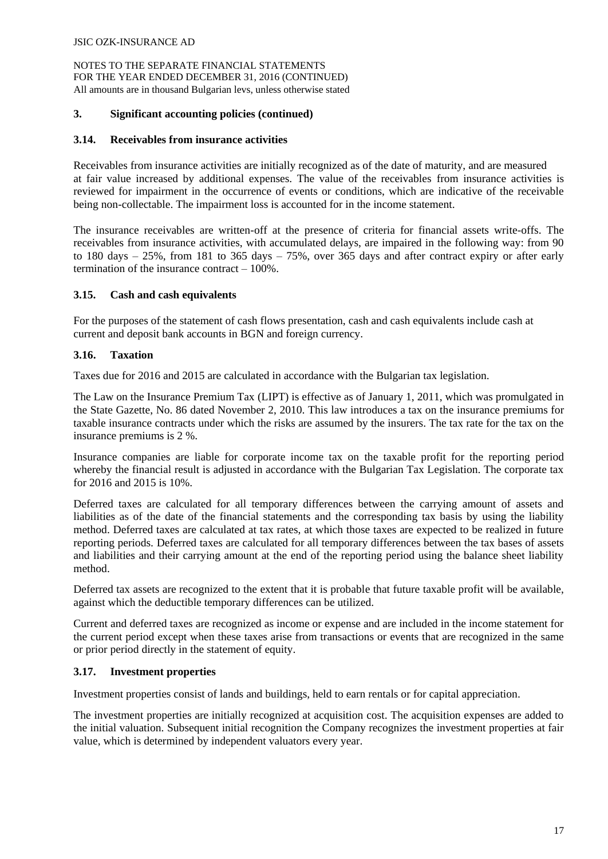#### **3. Significant accounting policies (continued)**

#### **3.14. Receivables from insurance activities**

Receivables from insurance activities are initially recognized as of the date of maturity, and are measured at fair value increased by additional expenses. The value of the receivables from insurance activities is reviewed for impairment in the occurrence of events or conditions, which are indicative of the receivable being non-collectable. The impairment loss is accounted for in the income statement.

The insurance receivables are written-off at the presence of criteria for financial assets write-offs. The receivables from insurance activities, with accumulated delays, are impaired in the following way: from 90 to 180 days – 25%, from 181 to 365 days – 75%, over 365 days and after contract expiry or after early termination of the insurance contract – 100%.

## **3.15. Cash and cash equivalents**

For the purposes of the statement of cash flows presentation, cash and cash equivalents include cash at current and deposit bank accounts in BGN and foreign currency.

## **3.16. Taxation**

Taxes due for 2016 and 2015 are calculated in accordance with the Bulgarian tax legislation.

The Law on the Insurance Premium Tax (LIPT) is effective as of January 1, 2011, which was promulgated in the State Gazette, No. 86 dated November 2, 2010. This law introduces a tax on the insurance premiums for taxable insurance contracts under which the risks are assumed by the insurers. The tax rate for the tax on the insurance premiums is 2 %.

Insurance companies are liable for corporate income tax on the taxable profit for the reporting period whereby the financial result is adjusted in accordance with the Bulgarian Tax Legislation. The corporate tax for 2016 and 2015 is 10%.

Deferred taxes are calculated for all temporary differences between the carrying amount of assets and liabilities as of the date of the financial statements and the corresponding tax basis by using the liability method. Deferred taxes are calculated at tax rates, at which those taxes are expected to be realized in future reporting periods. Deferred taxes are calculated for all temporary differences between the tax bases of assets and liabilities and their carrying amount at the end of the reporting period using the balance sheet liability method.

Deferred tax assets are recognized to the extent that it is probable that future taxable profit will be available, against which the deductible temporary differences can be utilized.

Current and deferred taxes are recognized as income or expense and are included in the income statement for the current period except when these taxes arise from transactions or events that are recognized in the same or prior period directly in the statement of equity.

# **3.17. Investment properties**

Investment properties consist of lands and buildings, held to earn rentals or for capital appreciation.

The investment properties are initially recognized at acquisition cost. The acquisition expenses are added to the initial valuation. Subsequent initial recognition the Company recognizes the investment properties at fair value, which is determined by independent valuators every year.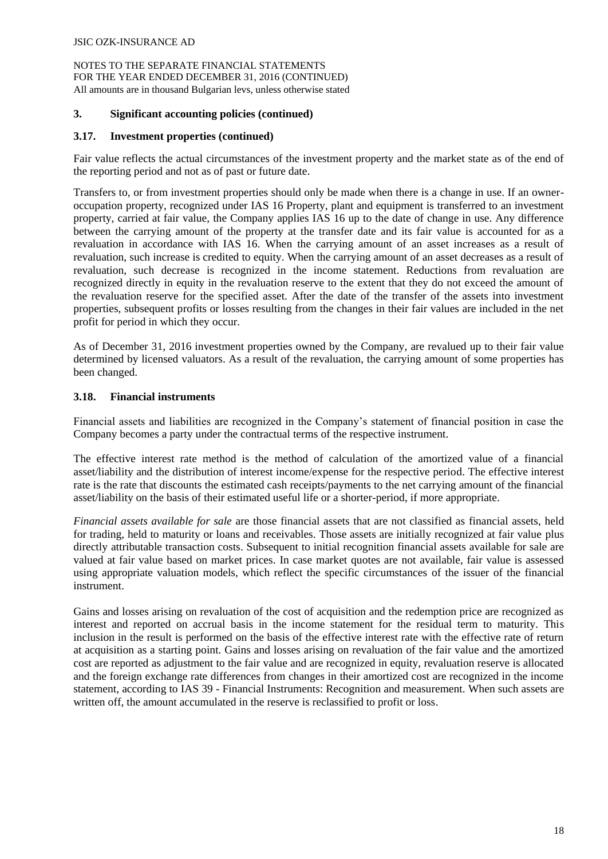#### **3. Significant accounting policies (continued)**

## **3.17. Investment properties (continued)**

Fair value reflects the actual circumstances of the investment property and the market state as of the end of the reporting period and not as of past or future date.

Transfers to, or from investment properties should only be made when there is a change in use. If an owneroccupation property, recognized under IAS 16 Property, plant and equipment is transferred to an investment property, carried at fair value, the Company applies IAS 16 up to the date of change in use. Any difference between the carrying amount of the property at the transfer date and its fair value is accounted for as a revaluation in accordance with IAS 16. When the carrying amount of an asset increases as a result of revaluation, such increase is credited to equity. When the carrying amount of an asset decreases as a result of revaluation, such decrease is recognized in the income statement. Reductions from revaluation are recognized directly in equity in the revaluation reserve to the extent that they do not exceed the amount of the revaluation reserve for the specified asset. After the date of the transfer of the assets into investment properties, subsequent profits or losses resulting from the changes in their fair values are included in the net profit for period in which they occur.

As of December 31, 2016 investment properties owned by the Company, are revalued up to their fair value determined by licensed valuators. As a result of the revaluation, the carrying amount of some properties has been changed.

## **3.18. Financial instruments**

Financial assets and liabilities are recognized in the Company's statement of financial position in case the Company becomes a party under the contractual terms of the respective instrument.

The effective interest rate method is the method of calculation of the amortized value of a financial asset/liability and the distribution of interest income/expense for the respective period. The effective interest rate is the rate that discounts the estimated cash receipts/payments to the net carrying amount of the financial asset/liability on the basis of their estimated useful life or a shorter-period, if more appropriate.

*Financial assets available for sale* are those financial assets that are not classified as financial assets, held for trading, held to maturity or loans and receivables. Those assets are initially recognized at fair value plus directly attributable transaction costs. Subsequent to initial recognition financial assets available for sale are valued at fair value based on market prices. In case market quotes are not available, fair value is assessed using appropriate valuation models, which reflect the specific circumstances of the issuer of the financial instrument.

Gains and losses arising on revaluation of the cost of acquisition and the redemption price are recognized as interest and reported on accrual basis in the income statement for the residual term to maturity. This inclusion in the result is performed on the basis of the effective interest rate with the effective rate of return at acquisition as a starting point. Gains and losses arising on revaluation of the fair value and the amortized cost are reported as adjustment to the fair value and are recognized in equity, revaluation reserve is allocated and the foreign exchange rate differences from changes in their amortized cost are recognized in the income statement, according to IAS 39 - Financial Instruments: Recognition and measurement. When such assets are written off, the amount accumulated in the reserve is reclassified to profit or loss.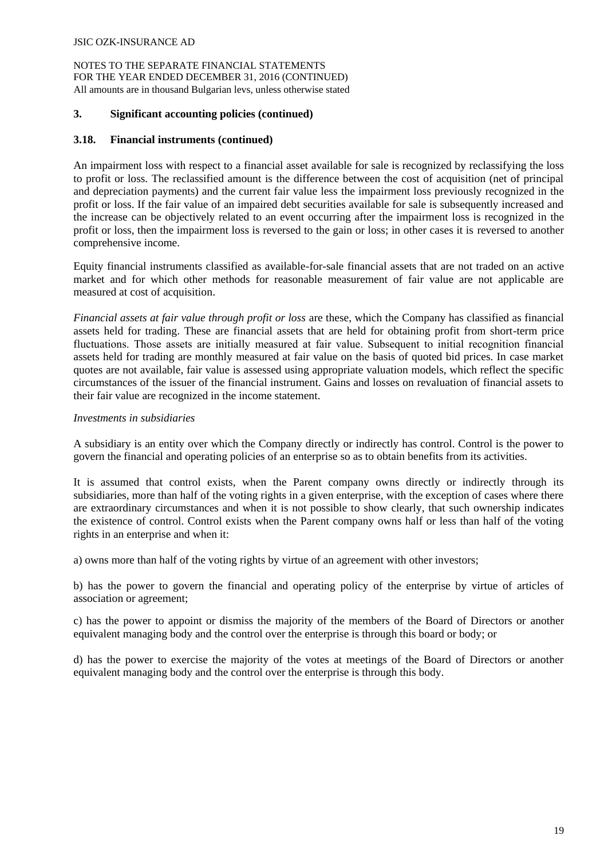#### **3. Significant accounting policies (continued)**

## **3.18. Financial instruments (continued)**

An impairment loss with respect to a financial asset available for sale is recognized by reclassifying the loss to profit or loss. The reclassified amount is the difference between the cost of acquisition (net of principal and depreciation payments) and the current fair value less the impairment loss previously recognized in the profit or loss. If the fair value of an impaired debt securities available for sale is subsequently increased and the increase can be objectively related to an event occurring after the impairment loss is recognized in the profit or loss, then the impairment loss is reversed to the gain or loss; in other cases it is reversed to another comprehensive income.

Equity financial instruments classified as available-for-sale financial assets that are not traded on an active market and for which other methods for reasonable measurement of fair value are not applicable are measured at cost of acquisition.

*Financial assets at fair value through profit or loss* are these, which the Company has classified as financial assets held for trading. These are financial assets that are held for obtaining profit from short-term price fluctuations. Тhose assets are initially measured at fair value. Subsequent to initial recognition financial assets held for trading are monthly measured at fair value on the basis of quoted bid prices. In case market quotes are not available, fair value is assessed using appropriate valuation models, which reflect the specific circumstances of the issuer of the financial instrument. Gains and losses on revaluation of financial assets to their fair value are recognized in the income statement.

## *Investments in subsidiaries*

A subsidiary is an entity over which the Company directly or indirectly has control. Control is the power to govern the financial and operating policies of an enterprise so as to obtain benefits from its activities.

It is assumed that control exists, when the Parent company owns directly or indirectly through its subsidiaries, more than half of the voting rights in a given enterprise, with the exception of cases where there are extraordinary circumstances and when it is not possible to show clearly, that such ownership indicates the existence of control. Control exists when the Parent company owns half or less than half of the voting rights in an enterprise and when it:

a) owns more than half of the voting rights by virtue of an agreement with other investors;

b) has the power to govern the financial and operating policy of the enterprise by virtue of articles of association or agreement;

c) has the power to appoint or dismiss the majority of the members of the Board of Directors or another equivalent managing body and the control over the enterprise is through this board or body; or

d) has the power to exercise the majority of the votes at meetings of the Board of Directors or another equivalent managing body and the control over the enterprise is through this body.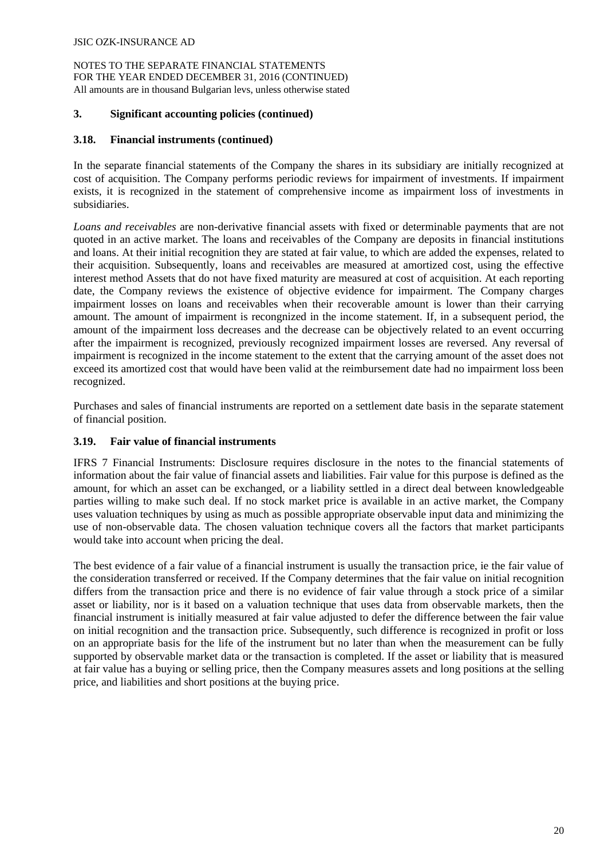#### **3. Significant accounting policies (continued)**

## **3.18. Financial instruments (continued)**

In the separate financial statements of the Company the shares in its subsidiary are initially recognized at cost of acquisition. The Company performs periodic reviews for impairment of investments. If impairment exists, it is recognized in the statement of comprehensive income as impairment loss of investments in subsidiaries.

*Loans and receivables* are non-derivative financial assets with fixed or determinable payments that are not quoted in an active market. The loans and receivables of the Company are deposits in financial institutions and loans. At their initial recognition they are stated at fair value, to which are added the expenses, related to their acquisition. Subsequently, loans and receivables are measured at amortized cost, using the effective interest method Assets that do not have fixed maturity are measured at cost of acquisition. At each reporting date, the Company reviews the existence of objective evidence for impairment. The Company charges impairment losses on loans and receivables when their recoverable amount is lower than their carrying amount. The amount of impairment is recongnized in the income statement. If, in a subsequent period, the amount of the impairment loss decreases and the decrease can be objectively related to an event occurring after the impairment is recognized, previously recognized impairment losses are reversed. Any reversal of impairment is recognized in the income statement to the extent that the carrying amount of the asset does not exceed its amortized cost that would have been valid at the reimbursement date had no impairment loss been recognized.

Purchases and sales of financial instruments are reported on a settlement date basis in the separate statement of financial position.

# **3.19. Fair value of financial instruments**

IFRS 7 Financial Instruments: Disclosure requires disclosure in the notes to the financial statements of information about the fair value of financial assets and liabilities. Fair value for this purpose is defined as the amount, for which an asset can be exchanged, or a liability settled in a direct deal between knowledgeable parties willing to make such deal. If no stock market price is available in an active market, the Company uses valuation techniques by using as much as possible appropriate observable input data and minimizing the use of non-observable data. The chosen valuation technique covers all the factors that market participants would take into account when pricing the deal.

The best evidence of a fair value of a financial instrument is usually the transaction price, ie the fair value of the consideration transferred or received. If the Company determines that the fair value on initial recognition differs from the transaction price and there is no evidence of fair value through a stock price of a similar asset or liability, nor is it based on a valuation technique that uses data from observable markets, then the financial instrument is initially measured at fair value adjusted to defer the difference between the fair value on initial recognition and the transaction price. Subsequently, such difference is recognized in profit or loss on an appropriate basis for the life of the instrument but no later than when the measurement can be fully supported by observable market data or the transaction is completed. If the asset or liability that is measured at fair value has a buying or selling price, then the Company measures assets and long positions at the selling price, and liabilities and short positions at the buying price.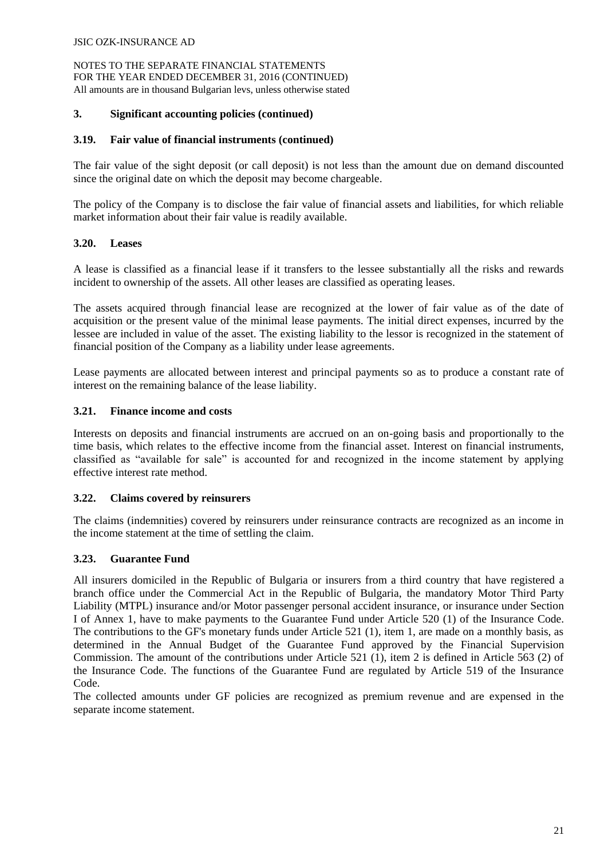NOTES TO THE SEPARATE FINANCIAL STATEMENTS FOR THE YEAR ENDED DECEMBER 31, 2016 (CONTINUED) All amounts are in thousand Bulgarian levs, unless otherwise stated

#### **3. Significant accounting policies (continued)**

#### **3.19. Fair value of financial instruments (continued)**

The fair value of the sight deposit (or call deposit) is not less than the amount due on demand discounted since the original date on which the deposit may become chargeable.

The policy of the Company is to disclose the fair value of financial assets and liabilities, for which reliable market information about their fair value is readily available.

#### **3.20. Leases**

A lease is classified as a financial lease if it transfers to the lessee substantially all the risks and rewards incident to ownership of the assets. All other leases are classified as operating leases.

The assets acquired through financial lease are recognized at the lower of fair value as of the date of acquisition or the present value of the minimal lease payments. The initial direct expenses, incurred by the lessee are included in value of the asset. The existing liability to the lessor is recognized in the statement of financial position of the Company as a liability under lease agreements.

Lease payments are allocated between interest and principal payments so as to produce a constant rate of interest on the remaining balance of the lease liability.

#### **3.21. Finance income and costs**

Interests on deposits and financial instruments are accrued on an on-going basis and proportionally to the time basis, which relates to the effective income from the financial asset. Interest on financial instruments, classified as "available for sale" is accounted for and recognized in the income statement by applying effective interest rate method.

#### **3.22. Claims covered by reinsurers**

The claims (indemnities) covered by reinsurers under reinsurance contracts are recognized as an income in the income statement at the time of settling the claim.

#### **3.23. Guarantee Fund**

All insurers domiciled in the Republic of Bulgaria or insurers from a third country that have registered a branch office under the Commercial Act in the Republic of Bulgaria, the mandatory Motor Third Party Liability (MTPL) insurance and/or Motor passenger personal accident insurance, or insurance under Section I of Annex 1, have to make payments to the Guarantee Fund under Article 520 (1) of the Insurance Code. The contributions to the GF's monetary funds under Article 521 (1), item 1, are made on a monthly basis, as determined in the Annual Budget of the Guarantee Fund approved by the Financial Supervision Commission. The amount of the contributions under Article 521 (1), item 2 is defined in Article 563 (2) of the Insurance Code. The functions of the Guarantee Fund are regulated by Article 519 of the Insurance Code.

The collected amounts under GF policies are recognized as premium revenue and are expensed in the separate income statement.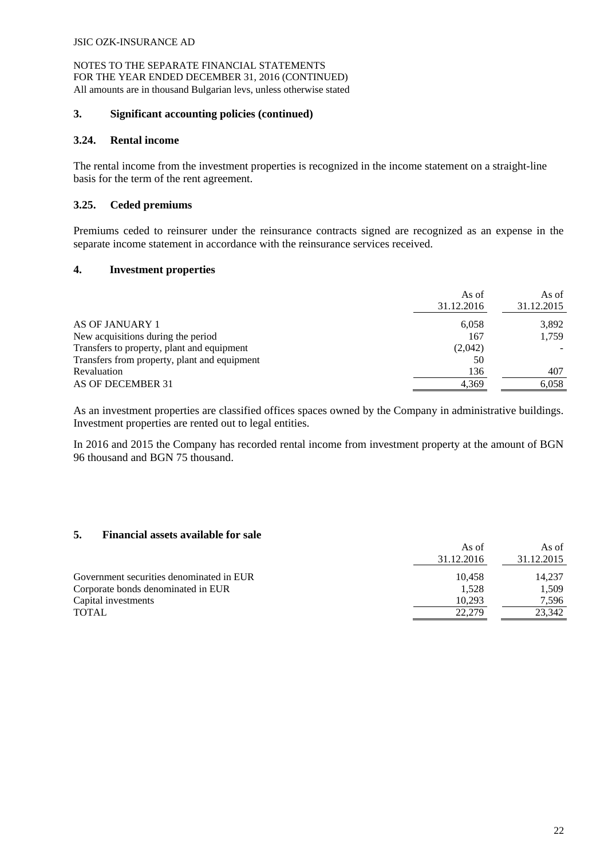NOTES TO THE SEPARATE FINANCIAL STATEMENTS FOR THE YEAR ENDED DECEMBER 31, 2016 (CONTINUED) All amounts are in thousand Bulgarian levs, unless otherwise stated

#### **3. Significant accounting policies (continued)**

#### **3.24. Rental income**

The rental income from the investment properties is recognized in the income statement on a straight-line basis for the term of the rent agreement.

## **3.25. Ceded premiums**

Premiums ceded to reinsurer under the reinsurance contracts signed are recognized as an expense in the separate income statement in accordance with the reinsurance services received.

## **4. Investment properties**

| 31.12.2016                                   | As of<br>As of<br>31.12.2015 |
|----------------------------------------------|------------------------------|
| AS OF JANUARY 1                              | 3,892<br>6,058               |
| New acquisitions during the period           | 1.759<br>167                 |
| Transfers to property, plant and equipment   | (2,042)                      |
| Transfers from property, plant and equipment | 50                           |
| Revaluation                                  | 407<br>136                   |
| AS OF DECEMBER 31                            | 4.369<br>6.058               |

As an investment properties are classified offices spaces owned by the Company in administrative buildings. Investment properties are rented out to legal entities.

In 2016 and 2015 the Company has recorded rental income from investment property at the amount of BGN 96 thousand and BGN 75 thousand.

# **5. Financial assets available for sale**

|                                          | As of      | As of      |
|------------------------------------------|------------|------------|
|                                          | 31.12.2016 | 31.12.2015 |
| Government securities denominated in EUR | 10.458     | 14.237     |
| Corporate bonds denominated in EUR       | 1.528      | 1,509      |
| Capital investments                      | 10.293     | 7.596      |
| <b>TOTAL</b>                             | 22.279     | 23.342     |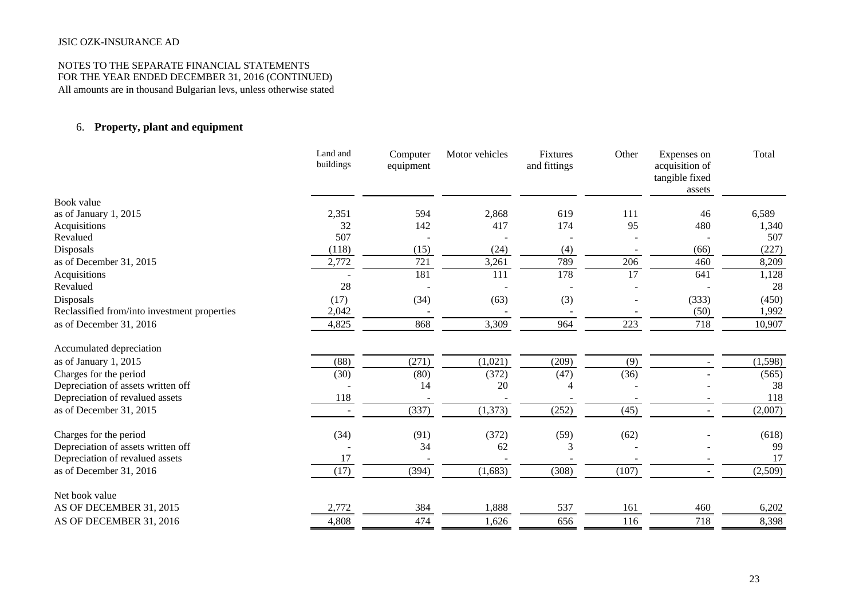#### NOTES TO THE SEPARATE FINANCIAL STATEMENTS FOR THE YEAR ENDED DECEMBER 31, 2016 (CONTINUED) All amounts are in thousand Bulgarian levs, unless otherwise stated

# 6. **Property, plant and equipment**

|                                              | Land and<br>buildings | Computer<br>equipment | Motor vehicles | Fixtures<br>and fittings | Other | Expenses on<br>acquisition of<br>tangible fixed<br>assets | Total   |
|----------------------------------------------|-----------------------|-----------------------|----------------|--------------------------|-------|-----------------------------------------------------------|---------|
| Book value                                   |                       |                       |                |                          |       |                                                           |         |
| as of January 1, 2015                        | 2,351                 | 594                   | 2,868          | 619                      | 111   | 46                                                        | 6,589   |
| Acquisitions                                 | 32                    | 142                   | 417            | 174                      | 95    | 480                                                       | 1,340   |
| Revalued                                     | 507                   |                       |                |                          |       |                                                           | 507     |
| Disposals                                    | (118)                 | (15)                  | (24)           | (4)                      |       | (66)                                                      | (227)   |
| as of December 31, 2015                      | 2,772                 | 721                   | 3,261          | 789                      | 206   | 460                                                       | 8,209   |
| Acquisitions                                 |                       | 181                   | 111            | 178                      | 17    | 641                                                       | 1,128   |
| Revalued                                     | 28                    |                       |                |                          |       |                                                           | 28      |
| Disposals                                    | (17)                  | (34)                  | (63)           | (3)                      |       | (333)                                                     | (450)   |
| Reclassified from/into investment properties | 2,042                 |                       |                |                          |       | (50)                                                      | 1,992   |
| as of December 31, 2016                      | 4,825                 | 868                   | 3,309          | 964                      | 223   | 718                                                       | 10,907  |
| Accumulated depreciation                     |                       |                       |                |                          |       |                                                           |         |
| as of January 1, 2015                        | (88)                  | (271)                 | (1,021)        | (209)                    | (9)   |                                                           | (1,598) |
| Charges for the period                       | (30)                  | (80)                  | (372)          | (47)                     | (36)  |                                                           | (565)   |
| Depreciation of assets written off           |                       | 14                    | 20             |                          |       |                                                           | 38      |
| Depreciation of revalued assets              | 118                   |                       |                |                          |       |                                                           | 118     |
| as of December 31, 2015                      |                       | (337)                 | (1,373)        | (252)                    | (45)  |                                                           | (2,007) |
| Charges for the period                       | (34)                  | (91)                  | (372)          | (59)                     | (62)  |                                                           | (618)   |
| Depreciation of assets written off           |                       | 34                    | 62             | 3                        |       |                                                           | 99      |
| Depreciation of revalued assets              | 17                    |                       |                |                          |       |                                                           | 17      |
| as of December 31, 2016                      | (17)                  | (394)                 | (1,683)        | (308)                    | (107) |                                                           | (2,509) |
| Net book value                               |                       |                       |                |                          |       |                                                           |         |
| AS OF DECEMBER 31, 2015                      | 2,772                 | 384                   | 1,888          | 537                      | 161   | 460                                                       | 6,202   |
| AS OF DECEMBER 31, 2016                      | 4,808                 | 474                   | 1,626          | 656                      | 116   | 718                                                       | 8,398   |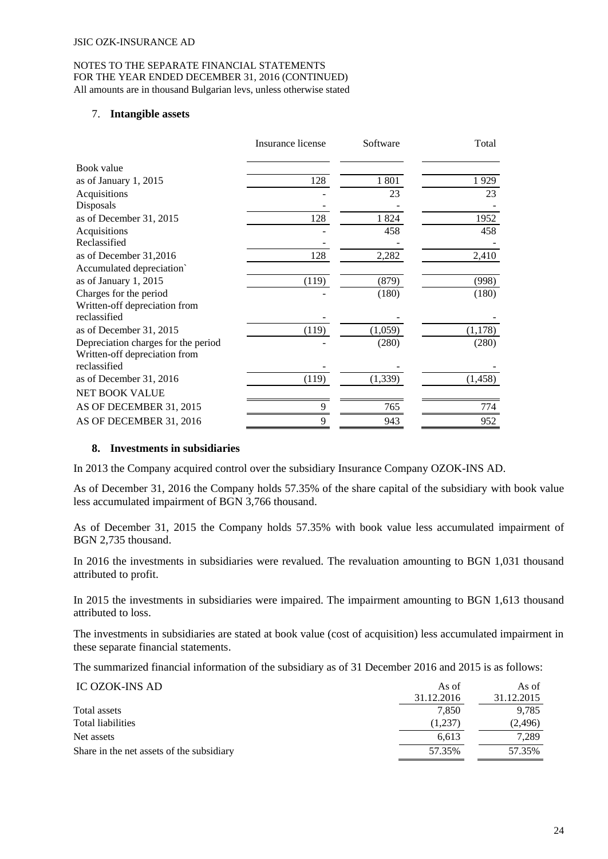#### NOTES TO THE SEPARATE FINANCIAL STATEMENTS FOR THE YEAR ENDED DECEMBER 31, 2016 (CONTINUED) All amounts are in thousand Bulgarian levs, unless otherwise stated

#### 7. **Intangible assets**

|                                     | Insurance license | Software | Total    |
|-------------------------------------|-------------------|----------|----------|
| Book value                          |                   |          |          |
| as of January 1, 2015               | 128               | 1 801    | 1929     |
| Acquisitions                        |                   | 23       | 23       |
| Disposals                           |                   |          |          |
| as of December 31, 2015             | 128               | 1824     | 1952     |
| Acquisitions                        |                   | 458      | 458      |
| Reclassified                        |                   |          |          |
| as of December 31,2016              | 128               | 2,282    | 2,410    |
| Accumulated depreciation`           |                   |          |          |
| as of January 1, 2015               | (119)             | (879)    | (998)    |
| Charges for the period              |                   | (180)    | (180)    |
| Written-off depreciation from       |                   |          |          |
| reclassified                        |                   |          |          |
| as of December 31, 2015             | (119)             | (1,059)  | (1,178)  |
| Depreciation charges for the period |                   | (280)    | (280)    |
| Written-off depreciation from       |                   |          |          |
| reclassified                        |                   |          |          |
| as of December 31, 2016             | (119)             | (1, 339) | (1, 458) |
| NET BOOK VALUE                      |                   |          |          |
| AS OF DECEMBER 31, 2015             | 9                 | 765      | 774      |
| AS OF DECEMBER 31, 2016             | 9                 | 943      | 952      |

#### **8. Investments in subsidiaries**

In 2013 the Company acquired control over the subsidiary Insurance Company OZOK-INS AD.

As of December 31, 2016 the Company holds 57.35% of the share capital of the subsidiary with book value less accumulated impairment of BGN 3,766 thousand.

As of December 31, 2015 the Company holds 57.35% with book value less accumulated impairment of BGN 2,735 thousand.

In 2016 the investments in subsidiaries were revalued. The revaluation amounting to BGN 1,031 thousand attributed to profit.

In 2015 the investments in subsidiaries were impaired. The impairment amounting to BGN 1,613 thousand attributed to loss.

The investments in subsidiaries are stated at book value (cost of acquisition) less accumulated impairment in these separate financial statements.

The summarized financial information of the subsidiary as of 31 December 2016 and 2015 is as follows:

| IC OZOK-INS AD                            | As of      | As of      |
|-------------------------------------------|------------|------------|
|                                           | 31.12.2016 | 31.12.2015 |
| Total assets                              | 7.850      | 9.785      |
| <b>Total liabilities</b>                  | (1,237)    | (2, 496)   |
| Net assets                                | 6.613      | 7.289      |
| Share in the net assets of the subsidiary | 57.35%     | 57.35%     |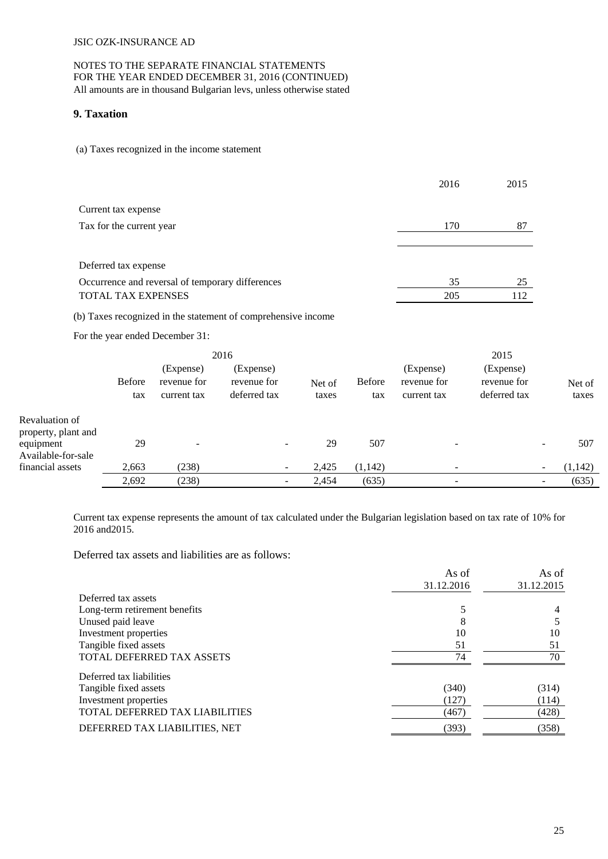#### NOTES TO THE SEPARATE FINANCIAL STATEMENTS FOR THE YEAR ENDED DECEMBER 31, 2016 (CONTINUED) All amounts are in thousand Bulgarian levs, unless otherwise stated

#### **9. Taxation**

(а) Taxes recognized in the income statement

|                                                  | 2016 | 2015 |
|--------------------------------------------------|------|------|
| Current tax expense                              |      |      |
| Tax for the current year                         | 170  | 87   |
|                                                  |      |      |
| Deferred tax expense                             |      |      |
| Occurrence and reversal of temporary differences | 35   | 25   |
| TOTAL TAX EXPENSES                               | 205  | 112  |

(b) Taxes recognized in the statement of comprehensive income

For the year ended December 31:

|                                       |                      |                                         | 2016                                     |                 |                      |                                         | 2015                                     |                          |                 |
|---------------------------------------|----------------------|-----------------------------------------|------------------------------------------|-----------------|----------------------|-----------------------------------------|------------------------------------------|--------------------------|-----------------|
|                                       | <b>Before</b><br>tax | (Expense)<br>revenue for<br>current tax | (Expense)<br>revenue for<br>deferred tax | Net of<br>taxes | <b>Before</b><br>tax | (Expense)<br>revenue for<br>current tax | (Expense)<br>revenue for<br>deferred tax |                          | Net of<br>taxes |
| Revaluation of<br>property, plant and |                      |                                         |                                          |                 |                      |                                         |                                          |                          |                 |
| equipment<br>Available-for-sale       | 29                   |                                         | $\overline{\phantom{0}}$                 | 29              | 507                  |                                         |                                          | $\overline{\phantom{0}}$ | 507             |
| financial assets                      | 2,663                | (238)                                   | $\overline{\phantom{0}}$                 | 2,425           | (1, 142)             |                                         |                                          |                          | (1,142)         |
|                                       | 2,692                | (238)                                   |                                          | 2,454           | (635)                |                                         |                                          |                          | (635)           |

Current tax expense represents the amount of tax calculated under the Bulgarian legislation based on tax rate of 10% for 2016 and2015.

Deferred tax assets and liabilities are as follows:

|                                | As of      | As of      |
|--------------------------------|------------|------------|
|                                | 31.12.2016 | 31.12.2015 |
| Deferred tax assets            |            |            |
| Long-term retirement benefits  |            | 4          |
| Unused paid leave              | 8          |            |
| Investment properties          | 10         | 10         |
| Tangible fixed assets          | 51         | 51         |
| TOTAL DEFERRED TAX ASSETS      | 74         | 70         |
| Deferred tax liabilities       |            |            |
| Tangible fixed assets          | (340)      | (314)      |
| Investment properties          | (127)      | (114)      |
| TOTAL DEFERRED TAX LIABILITIES | (467)      | (428)      |
| DEFERRED TAX LIABILITIES, NET  | (393)      | (358)      |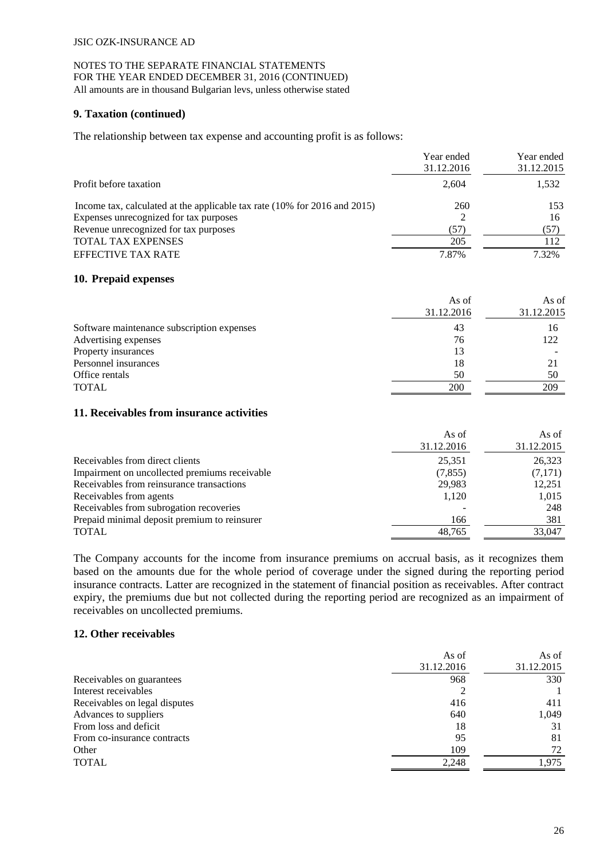#### NOTES TO THE SEPARATE FINANCIAL STATEMENTS FOR THE YEAR ENDED DECEMBER 31, 2016 (CONTINUED) All amounts are in thousand Bulgarian levs, unless otherwise stated

#### **9. Taxation (continued)**

The relationship between tax expense and accounting profit is as follows:

|                                                                           | Year ended<br>31.12.2016 | Year ended<br>31.12.2015 |
|---------------------------------------------------------------------------|--------------------------|--------------------------|
|                                                                           |                          |                          |
| Profit before taxation                                                    | 2,604                    | 1,532                    |
| Income tax, calculated at the applicable tax rate (10% for 2016 and 2015) | 260                      | 153                      |
| Expenses unrecognized for tax purposes                                    |                          | 16                       |
| Revenue unrecognized for tax purposes                                     | (57)                     | (57)                     |
| <b>TOTAL TAX EXPENSES</b>                                                 | 205                      | 112                      |
| <b>EFFECTIVE TAX RATE</b>                                                 | 7.87%                    | 7.32%                    |

#### **10. Prepaid expenses**

|                                            | As of      | As of      |
|--------------------------------------------|------------|------------|
|                                            | 31.12.2016 | 31.12.2015 |
| Software maintenance subscription expenses | 43         | 16         |
| Advertising expenses                       | 76         | 122        |
| Property insurances                        | 13         |            |
| Personnel insurances                       | 18         | 21         |
| Office rentals                             | 50         | 50         |
| <b>TOTAL</b>                               | 200        | 209        |

#### **11. Receivables from insurance activities**

|                                               | As of<br>31.12.2016 | As of<br>31.12.2015 |
|-----------------------------------------------|---------------------|---------------------|
| Receivables from direct clients               | 25,351              | 26,323              |
| Impairment on uncollected premiums receivable | (7, 855)            | (7,171)             |
| Receivables from reinsurance transactions     | 29.983              | 12,251              |
| Receivables from agents                       | 1,120               | 1,015               |
| Receivables from subrogation recoveries       |                     | 248                 |
| Prepaid minimal deposit premium to reinsurer  | 166                 | 381                 |
| <b>TOTAL</b>                                  | 48.765              | 33,047              |

The Company accounts for the income from insurance premiums on accrual basis, as it recognizes them based on the amounts due for the whole period of coverage under the signed during the reporting period insurance contracts. Latter are recognized in the statement of financial position as receivables. After contract expiry, the premiums due but not collected during the reporting period are recognized as an impairment of receivables on uncollected premiums.

#### **12. Other receivables**

|                               | As of      | As of      |
|-------------------------------|------------|------------|
|                               | 31.12.2016 | 31.12.2015 |
| Receivables on guarantees     | 968        | 330        |
| Interest receivables          |            |            |
| Receivables on legal disputes | 416        | 411        |
| Advances to suppliers         | 640        | 1,049      |
| From loss and deficit         | 18         | 31         |
| From co-insurance contracts   | 95         | 81         |
| Other                         | 109        | 72         |
| <b>TOTAL</b>                  | 2,248      | 1.975      |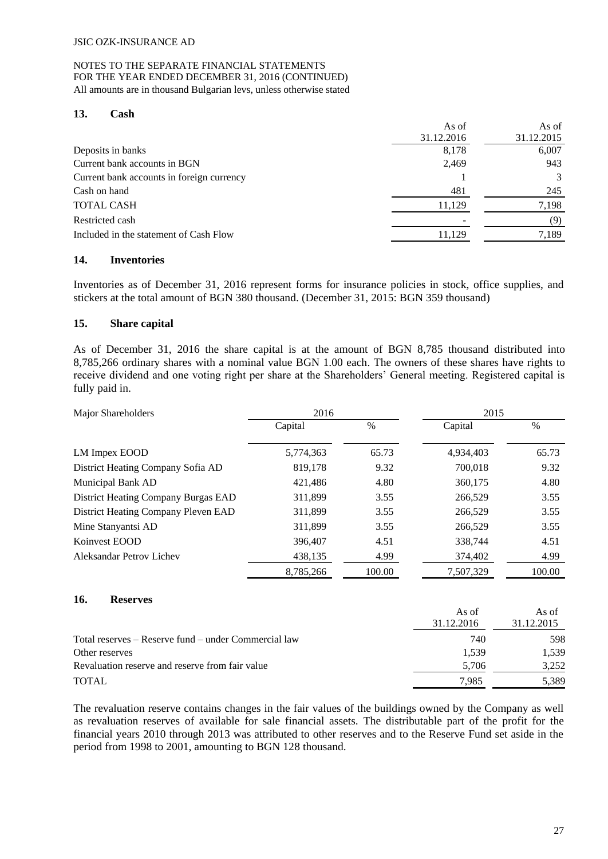# **13. Cash**

|                                           | As of      | As of      |
|-------------------------------------------|------------|------------|
|                                           | 31.12.2016 | 31.12.2015 |
| Deposits in banks                         | 8,178      | 6,007      |
| Current bank accounts in BGN              | 2,469      | 943        |
| Current bank accounts in foreign currency |            | 3          |
| Cash on hand                              | 481        | 245        |
| <b>TOTAL CASH</b>                         | 11.129     | 7.198      |
| Restricted cash                           |            | (9)        |
| Included in the statement of Cash Flow    | 11,129     | 7,189      |
|                                           |            |            |

## **14. Inventories**

Inventories as of December 31, 2016 represent forms for insurance policies in stock, office supplies, and stickers at the total amount of BGN 380 thousand. (December 31, 2015: BGN 359 thousand)

## **15. Share capital**

As of December 31, 2016 the share capital is at the amount of BGN 8,785 thousand distributed into 8,785,266 ordinary shares with a nominal value BGN 1.00 each. The owners of these shares have rights to receive dividend and one voting right per share at the Shareholders' General meeting. Registered capital is fully paid in.

| Major Shareholders                  | 2016      |        | 2015      |        |  |
|-------------------------------------|-----------|--------|-----------|--------|--|
|                                     | Capital   | $\%$   | Capital   | $\%$   |  |
| LM Impex EOOD                       | 5,774,363 | 65.73  | 4,934,403 | 65.73  |  |
| District Heating Company Sofia AD   | 819,178   | 9.32   | 700,018   | 9.32   |  |
| Municipal Bank AD                   | 421,486   | 4.80   | 360,175   | 4.80   |  |
| District Heating Company Burgas EAD | 311,899   | 3.55   | 266,529   | 3.55   |  |
| District Heating Company Pleven EAD | 311,899   | 3.55   | 266,529   | 3.55   |  |
| Mine Stanyantsi AD                  | 311,899   | 3.55   | 266,529   | 3.55   |  |
| Koinvest EOOD                       | 396,407   | 4.51   | 338,744   | 4.51   |  |
| Aleksandar Petrov Lichev            | 438,135   | 4.99   | 374,402   | 4.99   |  |
|                                     | 8.785.266 | 100.00 | 7.507.329 | 100.00 |  |

#### **16. Reserves**

|                                                      | As of<br>31.12.2016 | As of<br>31.12.2015 |
|------------------------------------------------------|---------------------|---------------------|
| Total reserves – Reserve fund – under Commercial law | 740                 | 598                 |
| Other reserves                                       | 1.539               | 1.539               |
| Revaluation reserve and reserve from fair value      | 5,706               | 3,252               |
| <b>TOTAL</b>                                         | 7.985               | 5,389               |

The revaluation reserve contains changes in the fair values of the buildings owned by the Company as well as revaluation reserves of available for sale financial assets. The distributable part of the profit for the financial years 2010 through 2013 was attributed to other reserves and to the Reserve Fund set aside in the period from 1998 to 2001, amounting to BGN 128 thousand.

 $\lambda$  of  $\alpha$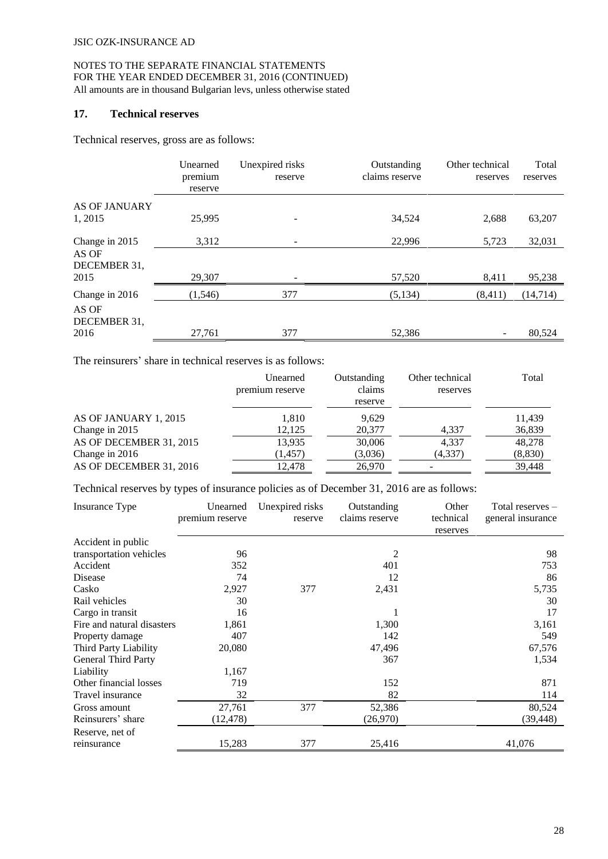# **17. Technical reserves**

Technical reserves, gross are as follows:

|                                 | Unearned<br>premium<br>reserve | Unexpired risks<br>reserve | Outstanding<br>claims reserve | Other technical<br>reserves | Total<br>reserves |
|---------------------------------|--------------------------------|----------------------------|-------------------------------|-----------------------------|-------------------|
| <b>AS OF JANUARY</b><br>1, 2015 | 25,995                         |                            | 34,524                        | 2,688                       | 63,207            |
| Change in 2015<br>AS OF         | 3,312                          |                            | 22,996                        | 5,723                       | 32,031            |
| DECEMBER 31,<br>2015            | 29,307                         |                            | 57,520                        | 8,411                       | 95,238            |
| Change in 2016                  | (1,546)                        | 377                        | (5, 134)                      | (8, 411)                    | (14,714)          |
| AS OF<br>DECEMBER 31,           |                                |                            |                               |                             |                   |
| 2016                            | 27,761                         | 377                        | 52,386                        |                             | 80,524            |

The reinsurers' share in technical reserves is as follows:

|                         | Unearned<br>premium reserve | Outstanding<br>claims<br>reserve | Other technical<br>reserves | Total   |
|-------------------------|-----------------------------|----------------------------------|-----------------------------|---------|
| AS OF JANUARY 1, 2015   | 1,810                       | 9.629                            |                             | 11,439  |
| Change in 2015          | 12,125                      | 20,377                           | 4,337                       | 36,839  |
| AS OF DECEMBER 31, 2015 | 13,935                      | 30,006                           | 4,337                       | 48,278  |
| Change in 2016          | (1, 457)                    | (3,036)                          | (4, 337)                    | (8,830) |
| AS OF DECEMBER 31, 2016 | 12.478                      | 26,970                           |                             | 39,448  |

Technical reserves by types of insurance policies as of December 31, 2016 are as follows:

| Insurance Type             | Unearned<br>premium reserve | Unexpired risks<br>reserve | Outstanding<br>claims reserve | Other<br>technical<br>reserves | Total reserves –<br>general insurance |
|----------------------------|-----------------------------|----------------------------|-------------------------------|--------------------------------|---------------------------------------|
| Accident in public         |                             |                            |                               |                                |                                       |
| transportation vehicles    | 96                          |                            | 2                             |                                | 98                                    |
| Accident                   | 352                         |                            | 401                           |                                | 753                                   |
| Disease                    | 74                          |                            | 12                            |                                | 86                                    |
| Casko                      | 2,927                       | 377                        | 2,431                         |                                | 5,735                                 |
| Rail vehicles              | 30                          |                            |                               |                                | 30                                    |
| Cargo in transit           | 16                          |                            |                               |                                | 17                                    |
| Fire and natural disasters | 1,861                       |                            | 1,300                         |                                | 3,161                                 |
| Property damage            | 407                         |                            | 142                           |                                | 549                                   |
| Third Party Liability      | 20,080                      |                            | 47,496                        |                                | 67,576                                |
| General Third Party        |                             |                            | 367                           |                                | 1,534                                 |
| Liability                  | 1,167                       |                            |                               |                                |                                       |
| Other financial losses     | 719                         |                            | 152                           |                                | 871                                   |
| Travel insurance           | 32                          |                            | 82                            |                                | 114                                   |
| Gross amount               | 27,761                      | 377                        | 52,386                        |                                | 80,524                                |
| Reinsurers' share          | (12, 478)                   |                            | (26,970)                      |                                | (39, 448)                             |
| Reserve, net of            |                             |                            |                               |                                |                                       |
| reinsurance                | 15,283                      | 377                        | 25,416                        |                                | 41,076                                |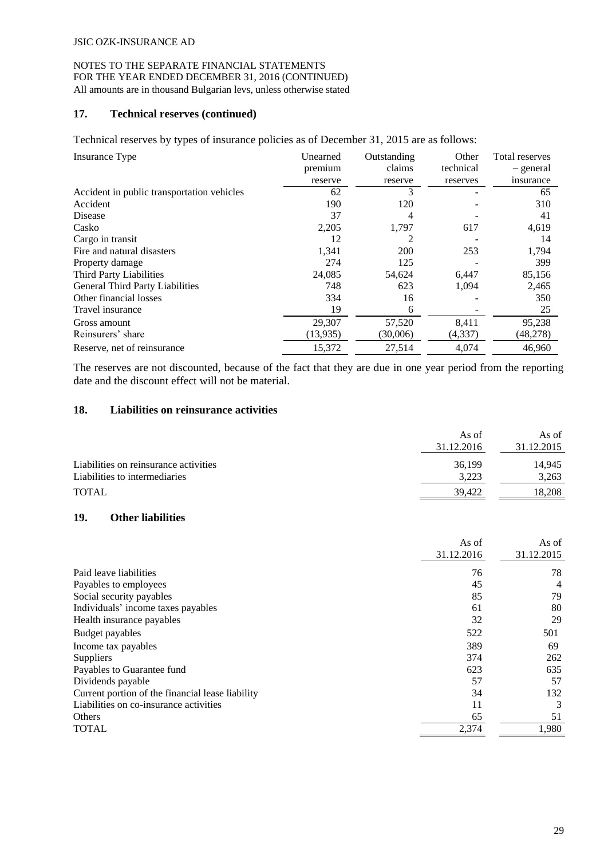#### NOTES TO THE SEPARATE FINANCIAL STATEMENTS FOR THE YEAR ENDED DECEMBER 31, 2016 (CONTINUED) All amounts are in thousand Bulgarian levs, unless otherwise stated

#### **17. Technical reserves (continued)**

Technical reserves by types of insurance policies as of December 31, 2015 are as follows:

| Insurance Type                             | Unearned  | Outstanding | Other     | Total reserves |
|--------------------------------------------|-----------|-------------|-----------|----------------|
|                                            | premium   | claims      | technical | - general      |
|                                            | reserve   | reserve     | reserves  | insurance      |
| Accident in public transportation vehicles | 62        | 3           |           | 65             |
| Accident                                   | 190       | 120         |           | 310            |
| Disease                                    | 37        | 4           |           | 41             |
| Casko                                      | 2,205     | 1,797       | 617       | 4,619          |
| Cargo in transit                           | 12        | 2           |           | 14             |
| Fire and natural disasters                 | 1,341     | 200         | 253       | 1,794          |
| Property damage                            | 274       | 125         |           | 399            |
| Third Party Liabilities                    | 24,085    | 54,624      | 6,447     | 85,156         |
| General Third Party Liabilities            | 748       | 623         | 1,094     | 2,465          |
| Other financial losses                     | 334       | 16          |           | 350            |
| Travel insurance                           | 19        | 6           |           | 25             |
| Gross amount                               | 29,307    | 57,520      | 8,411     | 95,238         |
| Reinsurers' share                          | (13, 935) | (30,006)    | (4,337)   | (48,278)       |
| Reserve, net of reinsurance                | 15,372    | 27,514      | 4,074     | 46,960         |

The reserves are not discounted, because of the fact that they are due in one year period from the reporting date and the discount effect will not be material.

## **18. Liabilities on reinsurance activities**

|                                       | As of      | As of      |
|---------------------------------------|------------|------------|
|                                       | 31.12.2016 | 31.12.2015 |
| Liabilities on reinsurance activities | 36,199     | 14.945     |
| Liabilities to intermediaries         | 3.223      | 3,263      |
| <b>TOTAL</b>                          | 39.422     | 18.208     |
|                                       |            |            |

#### **19. Other liabilities**

|                                                  | As of      | As of      |
|--------------------------------------------------|------------|------------|
|                                                  | 31.12.2016 | 31.12.2015 |
| Paid leave liabilities                           | 76         | 78         |
| Payables to employees                            | 45         | 4          |
| Social security payables                         | 85         | 79         |
| Individuals' income taxes payables               | 61         | 80         |
| Health insurance payables                        | 32         | 29         |
| Budget payables                                  | 522        | 501        |
| Income tax payables                              | 389        | 69         |
| <b>Suppliers</b>                                 | 374        | 262        |
| Payables to Guarantee fund                       | 623        | 635        |
| Dividends payable                                | 57         | 57         |
| Current portion of the financial lease liability | 34         | 132        |
| Liabilities on co-insurance activities           | 11         | 3          |
| Others                                           | 65         | 51         |
| <b>TOTAL</b>                                     | 2,374      | 1,980      |
|                                                  |            |            |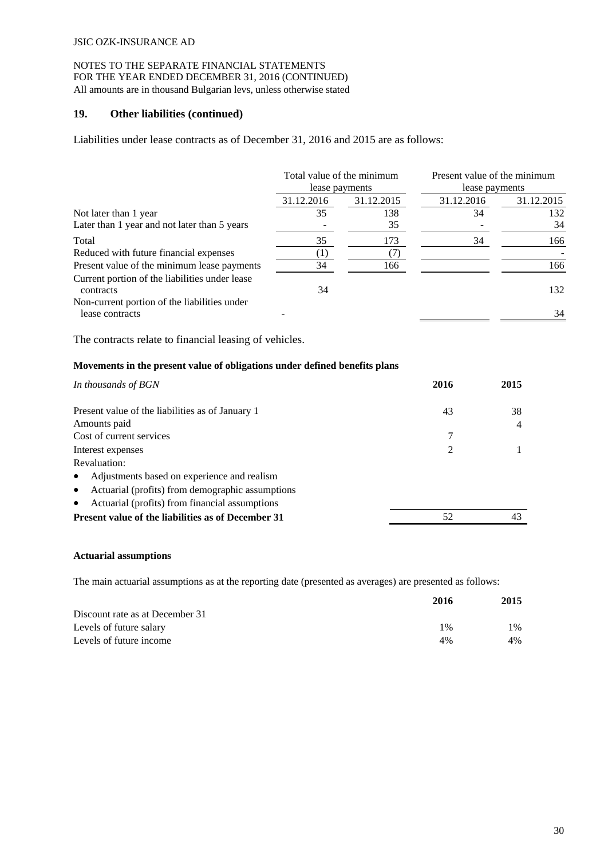#### **19. Other liabilities (continued)**

Liabilities under lease contracts as of December 31, 2016 and 2015 are as follows:

|                                                                 | Total value of the minimum<br>lease payments |            | Present value of the minimum<br>lease payments |            |
|-----------------------------------------------------------------|----------------------------------------------|------------|------------------------------------------------|------------|
|                                                                 | 31.12.2016                                   | 31.12.2015 | 31.12.2016                                     | 31.12.2015 |
| Not later than 1 year                                           | 35                                           | 138        | 34                                             | 132        |
| Later than 1 year and not later than 5 years                    |                                              | 35         |                                                | 34         |
| Total                                                           | 35                                           | 173        | 34                                             | 166        |
| Reduced with future financial expenses                          |                                              |            |                                                |            |
| Present value of the minimum lease payments                     | 34                                           | 166        |                                                | 166        |
| Current portion of the liabilities under lease<br>contracts     | 34                                           |            |                                                | 132        |
| Non-current portion of the liabilities under<br>lease contracts |                                              |            |                                                | 34         |

The contracts relate to financial leasing of vehicles.

#### **Movements in the present value of obligations under defined benefits plans**

| In thousands of BGN                                           | 2016 | 2015 |
|---------------------------------------------------------------|------|------|
| Present value of the liabilities as of January 1              | 43   | 38   |
| Amounts paid                                                  |      | 4    |
| Cost of current services                                      | 7    |      |
| Interest expenses                                             | 2    |      |
| Revaluation:                                                  |      |      |
| Adjustments based on experience and realism<br>$\bullet$      |      |      |
| Actuarial (profits) from demographic assumptions<br>$\bullet$ |      |      |
| Actuarial (profits) from financial assumptions<br>$\bullet$   |      |      |
| <b>Present value of the liabilities as of December 31</b>     | 52   |      |

#### **Actuarial assumptions**

The main actuarial assumptions as at the reporting date (presented as averages) are presented as follows:

|                                 | 2016  | 2015 |
|---------------------------------|-------|------|
| Discount rate as at December 31 |       |      |
| Levels of future salary         | $1\%$ | 1%   |
| Levels of future income         | 4%    | 4%   |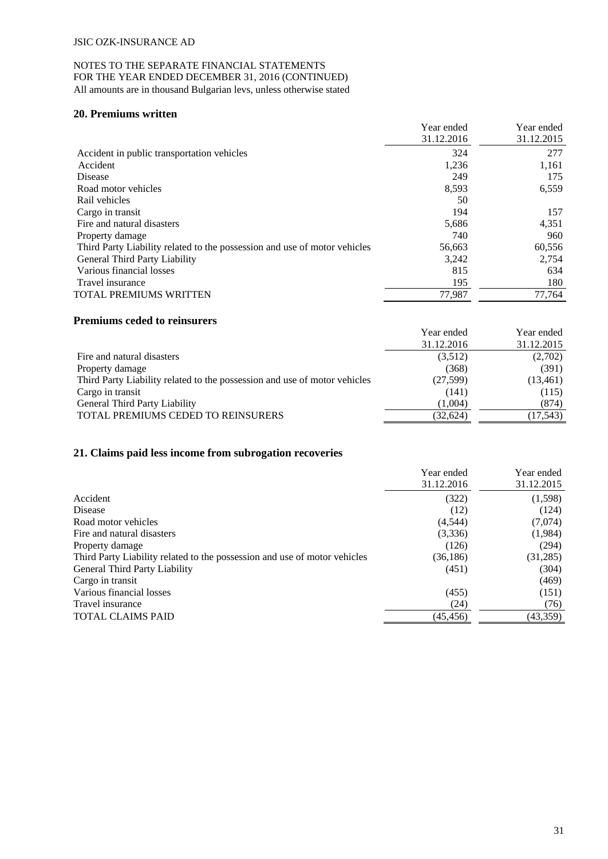#### NOTES TO THE SEPARATE FINANCIAL STATEMENTS FOR THE YEAR ENDED DECEMBER 31, 2016 (CONTINUED) All amounts are in thousand Bulgarian levs, unless otherwise stated

#### **20. Premiums written**

|                                                                           | Year ended | Year ended |
|---------------------------------------------------------------------------|------------|------------|
|                                                                           | 31.12.2016 | 31.12.2015 |
| Accident in public transportation vehicles                                | 324        | 277        |
| Accident                                                                  | 1,236      | 1,161      |
| Disease                                                                   | 249        | 175        |
| Road motor vehicles                                                       | 8,593      | 6,559      |
| Rail vehicles                                                             | 50         |            |
| Cargo in transit                                                          | 194        | 157        |
| Fire and natural disasters                                                | 5,686      | 4,351      |
| Property damage                                                           | 740        | 960        |
| Third Party Liability related to the possession and use of motor vehicles | 56,663     | 60,556     |
| <b>General Third Party Liability</b>                                      | 3,242      | 2,754      |
| Various financial losses                                                  | 815        | 634        |
| Travel insurance                                                          | 195        | 180        |
| <b>TOTAL PREMIUMS WRITTEN</b>                                             | 77,987     | 77,764     |

## **Premiums ceded to reinsurers**

| Year ended | Year ended |
|------------|------------|
| 31.12.2016 | 31.12.2015 |
| (3,512)    | (2,702)    |
| (368)      | (391)      |
| (27,599)   | (13, 461)  |
| (141)      | (115)      |
| (1.004)    | (874)      |
| (32,624)   | (17, 543)  |
|            |            |

## **21. Claims paid less income from subrogation recoveries**

|                                                                           | Year ended | Year ended |
|---------------------------------------------------------------------------|------------|------------|
|                                                                           | 31.12.2016 | 31.12.2015 |
| Accident                                                                  | (322)      | (1,598)    |
| Disease                                                                   | (12)       | (124)      |
| Road motor vehicles                                                       | (4, 544)   | (7,074)    |
| Fire and natural disasters                                                | (3,336)    | (1,984)    |
| Property damage                                                           | (126)      | (294)      |
| Third Party Liability related to the possession and use of motor vehicles | (36, 186)  | (31, 285)  |
| General Third Party Liability                                             | (451)      | (304)      |
| Cargo in transit                                                          |            | (469)      |
| Various financial losses                                                  | (455)      | (151)      |
| Travel insurance                                                          | (24)       | (76)       |
| <b>TOTAL CLAIMS PAID</b>                                                  | (45, 456)  | (43, 359)  |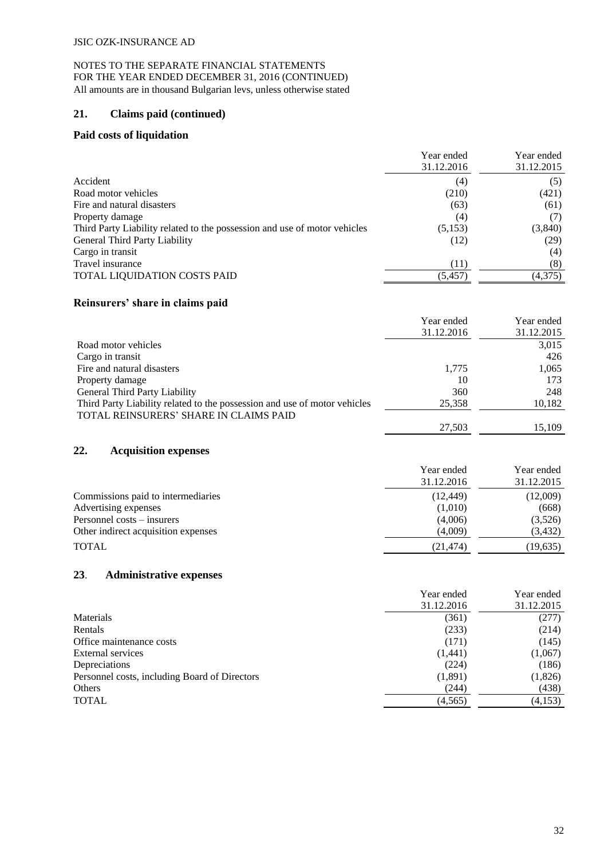## **21. Claims paid (continued)**

#### **Paid costs of liquidation**

|                                                                           | Year ended<br>31.12.2016 | Year ended<br>31.12.2015 |
|---------------------------------------------------------------------------|--------------------------|--------------------------|
| Accident                                                                  | (4)                      | (5)                      |
| Road motor vehicles                                                       | (210)                    | (421)                    |
| Fire and natural disasters                                                | (63)                     | (61)                     |
| Property damage                                                           | (4)                      |                          |
| Third Party Liability related to the possession and use of motor vehicles | (5,153)                  | (3,840)                  |
| General Third Party Liability                                             | (12)                     | (29)                     |
| Cargo in transit                                                          |                          | (4)                      |
| Travel insurance                                                          | (11)                     | (8)                      |
| <b>TOTAL LIQUIDATION COSTS PAID</b>                                       | (5, 457)                 | (4,375)                  |

# **Reinsurers' share in claims paid**

|                                                                           | Year ended | Year ended |
|---------------------------------------------------------------------------|------------|------------|
|                                                                           | 31.12.2016 | 31.12.2015 |
| Road motor vehicles                                                       |            | 3,015      |
| Cargo in transit                                                          |            | 426        |
| Fire and natural disasters                                                | 1,775      | 1,065      |
| Property damage                                                           | 10         | 173        |
| General Third Party Liability                                             | 360        | 248        |
| Third Party Liability related to the possession and use of motor vehicles | 25,358     | 10,182     |
| TOTAL REINSURERS' SHARE IN CLAIMS PAID                                    |            |            |
|                                                                           | 27,503     | 15.109     |

#### **22. Acquisition expenses**

|                                     | Year ended | Year ended |
|-------------------------------------|------------|------------|
|                                     | 31.12.2016 | 31.12.2015 |
| Commissions paid to intermediaries  | (12, 449)  | (12,009)   |
| Advertising expenses                | (1,010)    | (668)      |
| Personnel costs – insurers          | (4,006)    | (3,526)    |
| Other indirect acquisition expenses | (4,009)    | (3, 432)   |
| <b>TOTAL</b>                        | (21,474)   | (19,635)   |

## **23**. **Administrative expenses**

| Year ended | Year ended<br>31.12.2015 |
|------------|--------------------------|
|            |                          |
|            | (277)                    |
| (233)      | (214)                    |
| (171)      | (145)                    |
| (1,441)    | (1,067)                  |
| (224)      | (186)                    |
| (1,891)    | (1,826)                  |
| (244)      | (438)                    |
| (4,565)    | (4,153)                  |
|            | 31.12.2016<br>(361)      |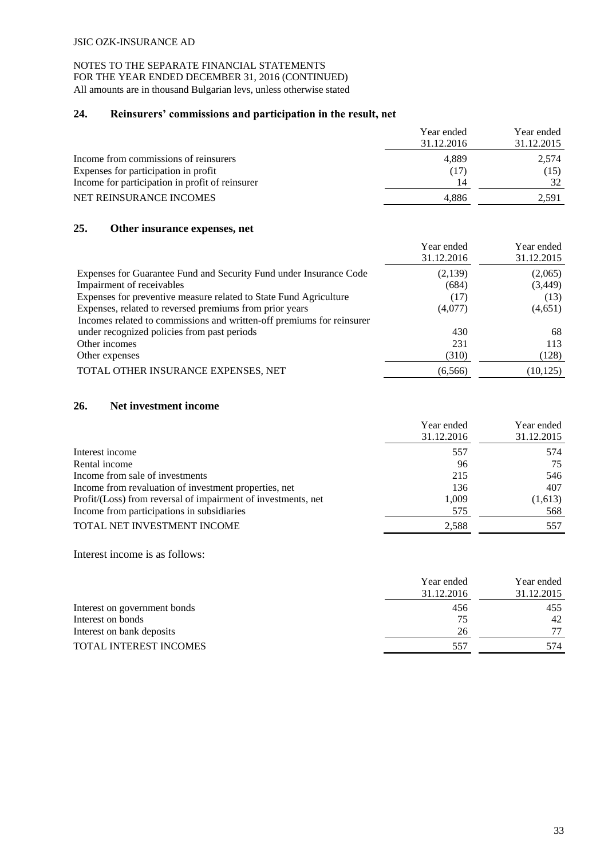# **24. Reinsurers' commissions and participation in the result, net**

|                                                 | Year ended | Year ended |
|-------------------------------------------------|------------|------------|
|                                                 | 31.12.2016 | 31.12.2015 |
| Income from commissions of reinsurers           | 4.889      | 2.574      |
| Expenses for participation in profit            | (17)       | (15)       |
| Income for participation in profit of reinsurer | 14         | 32         |
| NET REINSURANCE INCOMES                         | 4.886      | 2,591      |

## **25. Other insurance expenses, net**

|                                                                       | Year ended<br>31.12.2016 | Year ended<br>31.12.2015 |
|-----------------------------------------------------------------------|--------------------------|--------------------------|
| Expenses for Guarantee Fund and Security Fund under Insurance Code    | (2,139)                  | (2,065)                  |
| Impairment of receivables                                             | (684)                    | (3,449)                  |
| Expenses for preventive measure related to State Fund Agriculture     | (17)                     | (13)                     |
| Expenses, related to reversed premiums from prior years               | (4,077)                  | (4,651)                  |
| Incomes related to commissions and written-off premiums for reinsurer |                          |                          |
| under recognized policies from past periods                           | 430                      | 68                       |
| Other incomes                                                         | 231                      | 113                      |
| Other expenses                                                        | (310)                    | (128)                    |
| TOTAL OTHER INSURANCE EXPENSES, NET                                   | (6, 566)                 | (10, 125)                |

#### **26. Net investment income**

|                                                               | Year ended<br>31.12.2016 | Year ended<br>31.12.2015 |
|---------------------------------------------------------------|--------------------------|--------------------------|
| Interest income                                               | 557                      | 574                      |
| Rental income                                                 | 96                       | 75                       |
| Income from sale of investments                               | 215                      | 546                      |
| Income from revaluation of investment properties, net         | 136                      | 407                      |
| Profit/(Loss) from reversal of impairment of investments, net | 1.009                    | (1,613)                  |
| Income from participations in subsidiaries                    | 575                      | 568                      |
| TOTAL NET INVESTMENT INCOME                                   | 2.588                    | 557                      |

Interest income is as follows:

|                              | Year ended | Year ended |  |  |
|------------------------------|------------|------------|--|--|
|                              | 31.12.2016 | 31.12.2015 |  |  |
| Interest on government bonds | 456        | 455        |  |  |
| Interest on bonds            | 75         | 42         |  |  |
| Interest on bank deposits    | 26         | 77         |  |  |
| TOTAL INTEREST INCOMES       | 557        | 574        |  |  |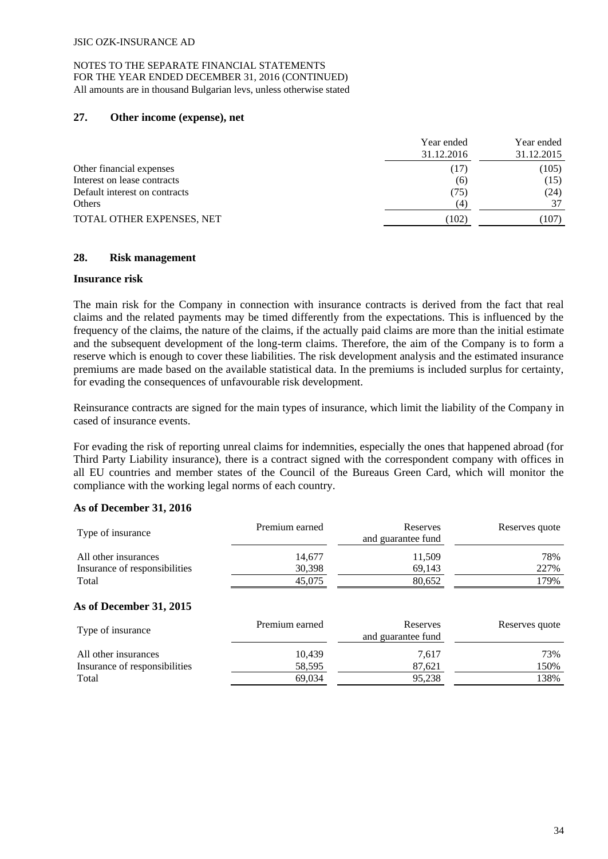## **27. Other income (expense), net**

|                               | Year ended<br>31.12.2016 |       |  |  |
|-------------------------------|--------------------------|-------|--|--|
| Other financial expenses      | (17)                     | (105) |  |  |
| Interest on lease contracts   | (6)                      | (15)  |  |  |
| Default interest on contracts | (75)                     | (24)  |  |  |
| Others                        | $\left(4\right)$         | 37    |  |  |
| TOTAL OTHER EXPENSES, NET     | (102)                    | (107) |  |  |

## **28. Risk management**

#### **Insurance risk**

The main risk for the Company in connection with insurance contracts is derived from the fact that real claims and the related payments may be timed differently from the expectations. This is influenced by the frequency of the claims, the nature of the claims, if the actually paid claims are more than the initial estimate and the subsequent development of the long-term claims. Therefore, the aim of the Company is to form a reserve which is enough to cover these liabilities. The risk development analysis and the estimated insurance premiums are made based on the available statistical data. In the premiums is included surplus for certainty, for evading the consequences of unfavourable risk development.

Reinsurance contracts are signed for the main types of insurance, which limit the liability of the Company in cased of insurance events.

For evading the risk of reporting unreal claims for indemnities, especially the ones that happened abroad (for Third Party Liability insurance), there is a contract signed with the correspondent company with offices in all EU countries and member states of the Council of the Bureaus Green Card, which will monitor the compliance with the working legal norms of each country.

# **As of December 31, 2016**

| Type of insurance                                     | Premium earned   | Reserves<br>and guarantee fund | Reserves quote |
|-------------------------------------------------------|------------------|--------------------------------|----------------|
| All other insurances<br>Insurance of responsibilities | 14,677<br>30,398 | 11,509<br>69,143               | 78%<br>227%    |
| Total                                                 | 45,075           | 80,652                         | 179%           |
| As of December 31, 2015                               |                  |                                |                |
| Type of insurance                                     | Premium earned   | Reserves<br>and guarantee fund | Reserves quote |
| All other insurances                                  | 10,439           | 7,617                          | 73%            |
| Insurance of responsibilities                         | 58,595           | 87,621                         | 150%           |
| Total                                                 | 69,034           | 95,238                         | 138%           |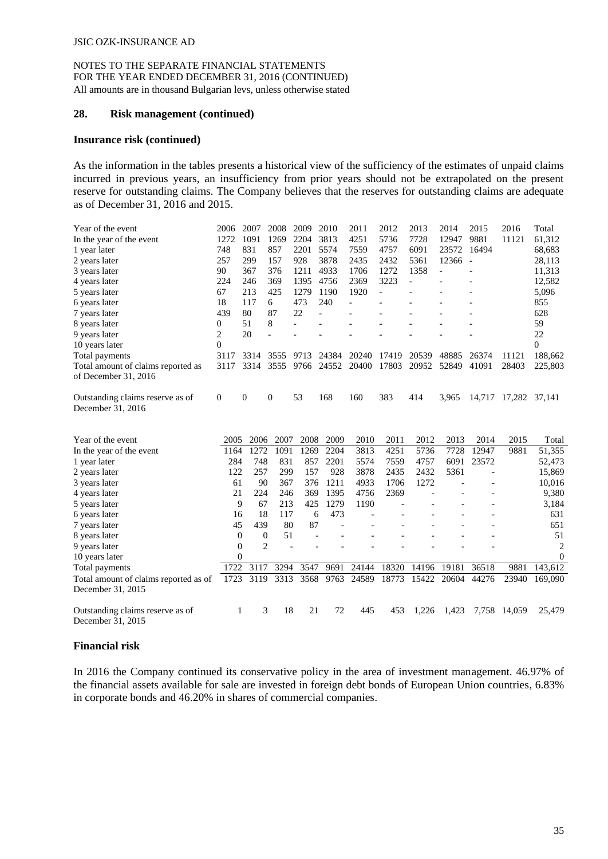#### **28. Risk management (continued)**

#### **Insurance risk (continued)**

As the information in the tables presents a historical view of the sufficiency of the estimates of unpaid claims incurred in previous years, an insufficiency from prior years should not be extrapolated on the present reserve for outstanding claims. The Company believes that the reserves for outstanding claims are adequate as of December 31, 2016 and 2015.

| Year of the event                  | 2006         | 2007 | 2008               | 2009 | 2010  | 2011  | 2012  | 2013  | 2014  | 2015                     | 2016                 | Total            |
|------------------------------------|--------------|------|--------------------|------|-------|-------|-------|-------|-------|--------------------------|----------------------|------------------|
| In the year of the event           | 1272         | 1091 | 1269               | 2204 | 3813  | 4251  | 5736  | 7728  | 12947 | 9881                     | 11121                | 61,312           |
| 1 year later                       | 748          | 831  | 857                | 2201 | 5574  | 7559  | 4757  | 6091  | 23572 | 16494                    |                      | 68,683           |
| 2 years later                      | 257          | 299  | 157                | 928  | 3878  | 2435  | 2432  | 5361  | 12366 | $\overline{\phantom{a}}$ |                      | 28,113           |
| 3 years later                      | 90           | 367  | 376                | 1211 | 4933  | 1706  | 1272  | 1358  |       |                          |                      | 11,313           |
| 4 years later                      | 224          | 246  | 369                | 1395 | 4756  | 2369  | 3223  |       |       |                          |                      | 12,582           |
| 5 years later                      | 67           | 213  | 425                | 1279 | 1190  | 1920  |       |       |       |                          |                      | 5,096            |
| 6 years later                      | 18           | 117  | 6                  | 473  | 240   |       |       |       |       |                          |                      | 855              |
| 7 years later                      | 439          | 80   | 87                 | 22   |       |       |       |       |       |                          |                      | 628              |
| 8 years later                      | $\mathbf{0}$ | 51   | 8                  |      |       |       |       |       |       |                          |                      | 59               |
| 9 years later                      | 2            | 20   |                    |      |       |       |       |       |       |                          |                      | 22               |
| 10 years later                     | $\theta$     |      |                    |      |       |       |       |       |       |                          |                      | $\theta$         |
| Total payments                     | 3117         | 3314 | 3555               | 9713 | 24384 | 20240 | 17419 | 20539 | 48885 | 26374                    | 11121                | 188,662          |
| Total amount of claims reported as | 3117         | 3314 | 3555               | 9766 | 24552 | 20400 | 17803 | 20952 | 52849 | 41091                    | 28403                | 225,803          |
| of December 31, 2016               |              |      |                    |      |       |       |       |       |       |                          |                      |                  |
| Outstanding claims reserve as of   | 0            | 0    | $\mathbf{0}$       | 53   | 168   | 160   | 383   | 414   | 3,965 |                          | 14,717 17,282 37,141 |                  |
| December 31, 2016                  |              |      |                    |      |       |       |       |       |       |                          |                      |                  |
|                                    |              |      |                    |      |       |       |       |       |       |                          |                      |                  |
| Year of the event                  | 2005         | 2006 | 2007               | 2008 | 2009  | 2010  | 2011  | 2012  | 2013  | 2014                     | 2015                 | Total            |
| In the year of the event           | 1164         | 1272 | 1091               | 1269 | 2204  | 3813  | 4251  | 5736  | 7728  | 12947                    | 9881                 | 51,355           |
| 1 year later                       | 284          | 748  | 831                | 857  | 2201  | 5574  | 7559  | 4757  | 6091  | 23572                    |                      | 52,473           |
| 2 years later                      | 122          | 257  | 299                | 157  | 928   | 3878  | 2435  | 2432  | 5361  |                          |                      | 15,869           |
| 3 years later                      | 61           | 90   | 367                | 376  | 1211  | 4933  | 1706  | 1272  |       |                          |                      | 10,016           |
| 4 years later                      | 21           | 224  | 246                | 369  | 1395  | 4756  | 2369  |       |       |                          |                      | 9,380            |
| 5 years later                      | 9            | 67   | 213                | 425  | 1279  | 1190  |       |       |       |                          |                      | 3,184            |
| 6 years later                      | 16           | 18   | 117                | 6    | 473   |       |       |       |       |                          |                      | 631              |
| 7 years later                      | 45           | 439  | 80                 | 87   |       |       |       |       |       |                          |                      | 651              |
| 8 years later                      | 0            |      | 51<br>$\mathbf{0}$ |      |       |       |       |       |       |                          |                      | 51               |
| 9 years later                      | 0            |      | $\overline{2}$     |      |       |       |       |       |       |                          |                      | $\overline{2}$   |
| 10 years later                     | 0            |      |                    |      |       |       |       |       |       |                          |                      | $\boldsymbol{0}$ |
| Total payments                     | 1722         | 3117 | 3294               | 3547 | 9691  | 24144 | 18320 | 14196 | 19181 | 36518                    | 9881                 | 143.612          |

December 31, 2015 Outstanding claims reserve as of December 31, 2015 1 3 18 21 72 445 453 1,226 1,423 7,758 14,059 25,479

Total amount of claims reported as of 1723 3119 3313 3568 9763 24589 18773 15422 20604 44276 23940 169,090

#### **Financial risk**

In 2016 the Company continued its conservative policy in the area of investment management. 46.97% of the financial assets available for sale are invested in foreign debt bonds of European Union countries, 6.83% in corporate bonds and 46.20% in shares of commercial companies.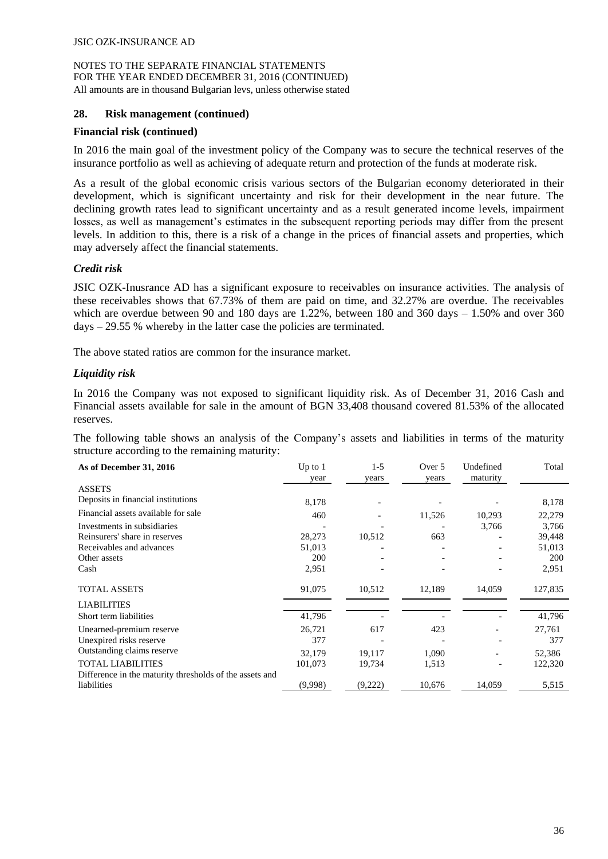## **28. Risk management (continued)**

#### **Financial risk (continued)**

In 2016 the main goal of the investment policy of the Company was to secure the technical reserves of the insurance portfolio as well as achieving of adequate return and protection of the funds at moderate risk.

As a result of the global economic crisis various sectors of the Bulgarian economy deteriorated in their development, which is significant uncertainty and risk for their development in the near future. The declining growth rates lead to significant uncertainty and as a result generated income levels, impairment losses, as well as management's estimates in the subsequent reporting periods may differ from the present levels. In addition to this, there is a risk of a change in the prices of financial assets and properties, which may adversely affect the financial statements.

## *Credit risk*

JSIC OZK-Inusrance AD has a significant exposure to receivables on insurance activities. The analysis of these receivables shows that 67.73% of them are paid on time, and 32.27% are overdue. The receivables which are overdue between 90 and 180 days are 1.22%, between 180 and 360 days  $-1.50\%$  and over 360 days – 29.55 % whereby in the latter case the policies are terminated.

The above stated ratios are common for the insurance market.

## *Liquidity risk*

In 2016 the Company was not exposed to significant liquidity risk. As of December 31, 2016 Cash and Financial assets available for sale in the amount of BGN 33,408 thousand covered 81.53% of the allocated reserves.

The following table shows an analysis of the Company's assets and liabilities in terms of the maturity structure according to the remaining maturity:

| As of December 31, 2016                                 | Up to $1$<br>year | $1-5$<br>years | Over 5<br>years | Undefined<br>maturity    | Total      |
|---------------------------------------------------------|-------------------|----------------|-----------------|--------------------------|------------|
| <b>ASSETS</b>                                           |                   |                |                 |                          |            |
| Deposits in financial institutions                      | 8,178             |                |                 |                          | 8,178      |
| Financial assets available for sale                     | 460               |                | 11,526          | 10,293                   | 22,279     |
| Investments in subsidiaries                             |                   |                |                 | 3,766                    | 3,766      |
| Reinsurers' share in reserves                           | 28,273            | 10,512         | 663             |                          | 39,448     |
| Receivables and advances                                | 51,013            |                |                 |                          | 51,013     |
| Other assets                                            | 200               |                |                 |                          | <b>200</b> |
| Cash                                                    | 2,951             |                |                 |                          | 2,951      |
| <b>TOTAL ASSETS</b>                                     | 91,075            | 10,512         | 12,189          | 14,059                   | 127,835    |
| <b>LIABILITIES</b>                                      |                   |                |                 |                          |            |
| Short term liabilities                                  | 41,796            |                |                 |                          | 41,796     |
| Unearned-premium reserve                                | 26,721            | 617            | 423             |                          | 27,761     |
| Unexpired risks reserve                                 | 377               |                |                 | $\overline{\phantom{a}}$ | 377        |
| Outstanding claims reserve                              | 32.179            | 19.117         | 1,090           |                          | 52,386     |
| <b>TOTAL LIABILITIES</b>                                | 101,073           | 19,734         | 1,513           |                          | 122,320    |
| Difference in the maturity thresholds of the assets and |                   |                |                 |                          |            |
| liabilities                                             | (9,998)           | (9,222)        | 10,676          | 14,059                   | 5,515      |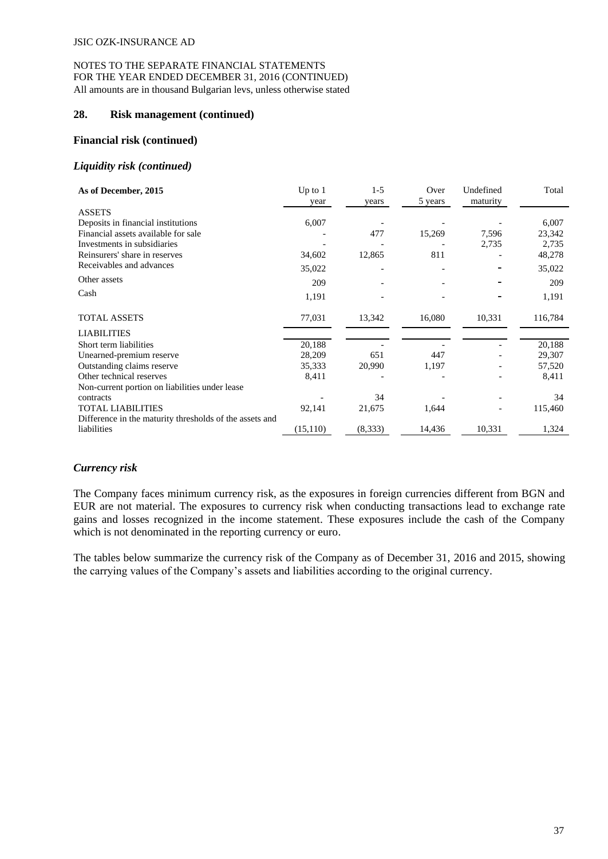#### **28. Risk management (continued)**

#### **Financial risk (continued)**

#### *Liquidity risk (continued)*

| As of December, 2015                                    | Up to $1$<br>year | $1 - 5$<br>years | Over<br>5 years | Undefined<br>maturity | Total   |
|---------------------------------------------------------|-------------------|------------------|-----------------|-----------------------|---------|
| <b>ASSETS</b>                                           |                   |                  |                 |                       |         |
| Deposits in financial institutions                      | 6,007             |                  |                 |                       | 6,007   |
| Financial assets available for sale                     |                   | 477              | 15,269          | 7,596                 | 23,342  |
| Investments in subsidiaries                             |                   |                  |                 | 2,735                 | 2,735   |
| Reinsurers' share in reserves                           | 34,602            | 12,865           | 811             |                       | 48,278  |
| Receivables and advances                                | 35,022            |                  |                 |                       | 35,022  |
| Other assets                                            | 209               |                  |                 |                       | 209     |
| Cash                                                    | 1,191             |                  |                 |                       | 1,191   |
| TOTAL ASSETS                                            | 77,031            | 13,342           | 16,080          | 10,331                | 116,784 |
| <b>LIABILITIES</b>                                      |                   |                  |                 |                       |         |
| Short term liabilities                                  | 20,188            |                  |                 |                       | 20,188  |
| Unearned-premium reserve                                | 28,209            | 651              | 447             |                       | 29,307  |
| Outstanding claims reserve                              | 35,333            | 20,990           | 1,197           |                       | 57,520  |
| Other technical reserves                                | 8,411             |                  |                 |                       | 8,411   |
| Non-current portion on liabilities under lease          |                   |                  |                 |                       |         |
| contracts                                               |                   | 34               |                 |                       | 34      |
| <b>TOTAL LIABILITIES</b>                                | 92,141            | 21,675           | 1,644           |                       | 115,460 |
| Difference in the maturity thresholds of the assets and |                   |                  |                 |                       |         |
| liabilities                                             | (15, 110)         | (8,333)          | 14,436          | 10,331                | 1,324   |

# *Currency risk*

The Company faces minimum currency risk, as the exposures in foreign currencies different from BGN and EUR are not material. The exposures to currency risk when conducting transactions lead to exchange rate gains and losses recognized in the income statement. These exposures include the cash of the Company which is not denominated in the reporting currency or euro.

The tables below summarize the currency risk of the Company as of December 31, 2016 and 2015, showing the carrying values of the Company's assets and liabilities according to the original currency.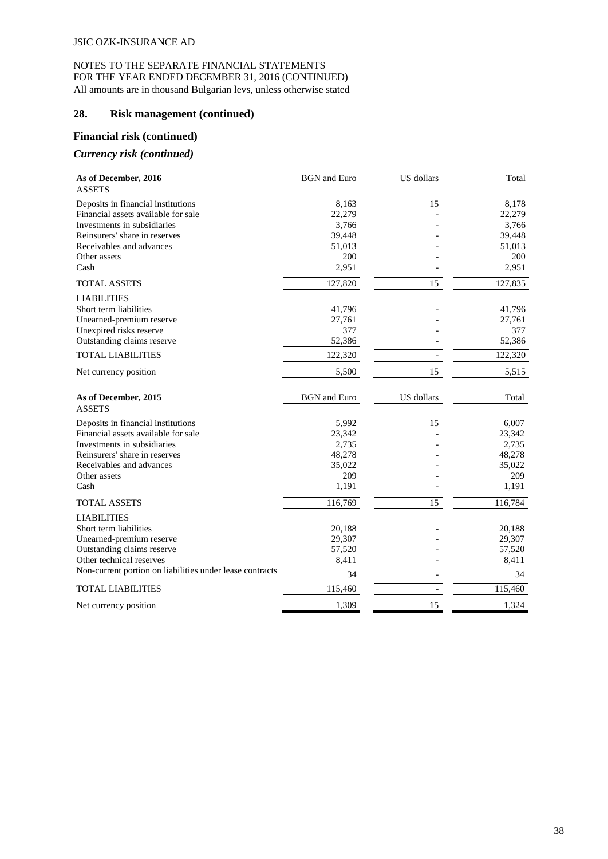## **28. Risk management (continued)**

## **Financial risk (continued)**

## *Currency risk (continued)*

| As of December, 2016<br><b>ASSETS</b>                    | <b>BGN</b> and Euro | US dollars | Total   |
|----------------------------------------------------------|---------------------|------------|---------|
| Deposits in financial institutions                       | 8,163               | 15         | 8,178   |
| Financial assets available for sale                      | 22,279              |            | 22,279  |
| Investments in subsidiaries                              | 3,766               |            | 3,766   |
| Reinsurers' share in reserves                            | 39,448              |            | 39,448  |
| Receivables and advances                                 | 51,013              |            | 51,013  |
| Other assets                                             | 200                 |            | 200     |
| Cash                                                     | 2,951               |            | 2,951   |
| <b>TOTAL ASSETS</b>                                      | 127,820             | 15         | 127,835 |
| <b>LIABILITIES</b>                                       |                     |            |         |
| Short term liabilities                                   | 41,796              |            | 41,796  |
| Unearned-premium reserve                                 | 27,761              |            | 27,761  |
| Unexpired risks reserve                                  | 377                 |            | 377     |
| Outstanding claims reserve                               | 52,386              |            | 52,386  |
| <b>TOTAL LIABILITIES</b>                                 | 122,320             |            | 122,320 |
| Net currency position                                    | 5,500               | 15         | 5,515   |
| As of December, 2015                                     | <b>BGN</b> and Euro | US dollars | Total   |
| <b>ASSETS</b>                                            |                     |            |         |
| Deposits in financial institutions                       | 5,992               | 15         | 6,007   |
| Financial assets available for sale                      | 23,342              |            | 23,342  |
| Investments in subsidiaries                              | 2,735               |            | 2,735   |
| Reinsurers' share in reserves                            | 48,278              |            | 48,278  |
| Receivables and advances                                 | 35,022              |            | 35,022  |
| Other assets                                             | 209                 |            | 209     |
| Cash                                                     | 1,191               |            | 1,191   |
| <b>TOTAL ASSETS</b>                                      | 116,769             | 15         | 116,784 |
| <b>LIABILITIES</b>                                       |                     |            |         |
| Short term liabilities                                   | 20,188              |            | 20,188  |
| Unearned-premium reserve                                 | 29,307              |            | 29,307  |
| Outstanding claims reserve                               | 57,520              |            | 57,520  |
| Other technical reserves                                 | 8,411               |            | 8,411   |
| Non-current portion on liabilities under lease contracts | 34                  |            | 34      |
| <b>TOTAL LIABILITIES</b>                                 | 115,460             |            | 115,460 |
| Net currency position                                    | 1,309               | 15         | 1,324   |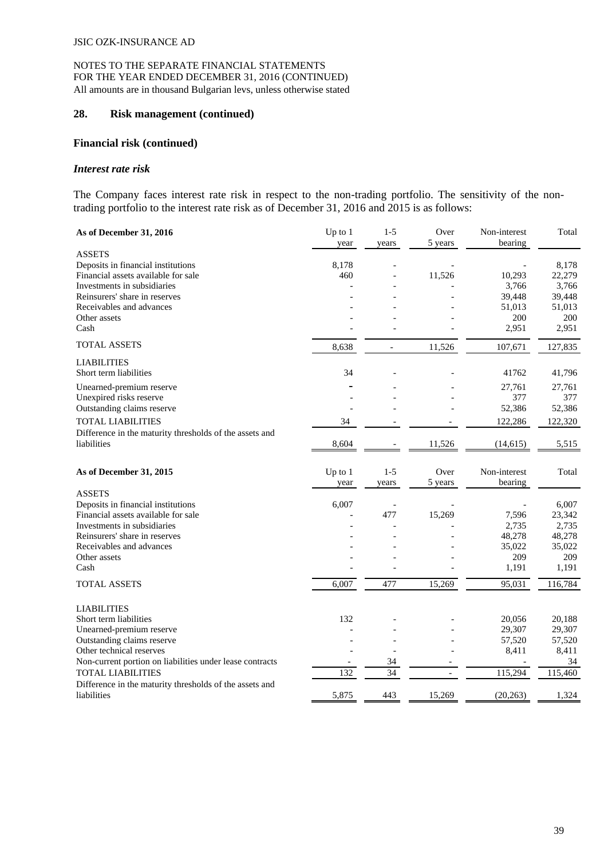#### **28. Risk management (continued)**

#### **Financial risk (continued)**

#### *Interest rate risk*

The Company faces interest rate risk in respect to the non-trading portfolio. The sensitivity of the nontrading portfolio to the interest rate risk as of December 31, 2016 and 2015 is as follows:

| As of December 31, 2016                                  | $Up$ to $1$<br>year | $1 - 5$<br>years | Over<br>5 years          | Non-interest<br>bearing | Total   |
|----------------------------------------------------------|---------------------|------------------|--------------------------|-------------------------|---------|
| <b>ASSETS</b>                                            |                     |                  |                          |                         |         |
| Deposits in financial institutions                       | 8,178               |                  |                          |                         | 8,178   |
| Financial assets available for sale                      | 460                 |                  | 11,526                   | 10,293                  | 22,279  |
| Investments in subsidiaries                              |                     |                  |                          | 3,766                   | 3,766   |
| Reinsurers' share in reserves                            |                     |                  |                          | 39,448                  | 39,448  |
| Receivables and advances                                 |                     |                  |                          | 51,013                  | 51,013  |
| Other assets                                             |                     |                  |                          | 200                     | 200     |
| Cash                                                     |                     |                  |                          | 2,951                   | 2,951   |
| <b>TOTAL ASSETS</b>                                      | 8,638               |                  | 11,526                   | 107,671                 | 127,835 |
| <b>LIABILITIES</b>                                       |                     |                  |                          |                         |         |
| Short term liabilities                                   | 34                  |                  |                          | 41762                   | 41,796  |
| Unearned-premium reserve                                 |                     |                  |                          | 27,761                  | 27,761  |
| Unexpired risks reserve                                  |                     |                  |                          | 377                     | 377     |
| Outstanding claims reserve                               |                     |                  |                          | 52,386                  | 52,386  |
| <b>TOTAL LIABILITIES</b>                                 | 34                  |                  |                          | 122,286                 | 122,320 |
| Difference in the maturity thresholds of the assets and  |                     |                  |                          |                         |         |
| liabilities                                              | 8,604               |                  | 11,526                   | (14, 615)               | 5,515   |
| As of December 31, 2015                                  | Up to $1$<br>year   | $1 - 5$<br>years | Over<br>5 years          | Non-interest<br>bearing | Total   |
| <b>ASSETS</b>                                            |                     |                  |                          |                         |         |
| Deposits in financial institutions                       | 6,007               |                  |                          |                         | 6,007   |
| Financial assets available for sale                      |                     | 477              | 15,269                   | 7,596                   | 23,342  |
| Investments in subsidiaries                              |                     |                  |                          | 2,735                   | 2,735   |
| Reinsurers' share in reserves                            |                     |                  |                          | 48,278                  | 48,278  |
| Receivables and advances                                 |                     |                  |                          | 35,022                  | 35,022  |
| Other assets                                             |                     |                  |                          | 209                     | 209     |
| Cash                                                     |                     |                  |                          | 1,191                   | 1,191   |
| <b>TOTAL ASSETS</b>                                      | 6,007               | 477              | 15,269                   | 95,031                  | 116,784 |
| <b>LIABILITIES</b>                                       |                     |                  |                          |                         |         |
| Short term liabilities                                   | 132                 |                  |                          | 20,056                  | 20,188  |
| Unearned-premium reserve                                 |                     |                  |                          | 29,307                  | 29,307  |
| Outstanding claims reserve                               |                     |                  |                          | 57,520                  | 57,520  |
| Other technical reserves                                 |                     |                  |                          | 8,411                   | 8,411   |
| Non-current portion on liabilities under lease contracts |                     | 34               |                          |                         | 34      |
| <b>TOTAL LIABILITIES</b>                                 | 132                 | $\overline{34}$  | $\overline{\phantom{a}}$ | 115,294                 | 115,460 |
| Difference in the maturity thresholds of the assets and  |                     |                  |                          |                         |         |
| liabilities                                              | 5,875               | 443              | 15,269                   | (20, 263)               | 1,324   |